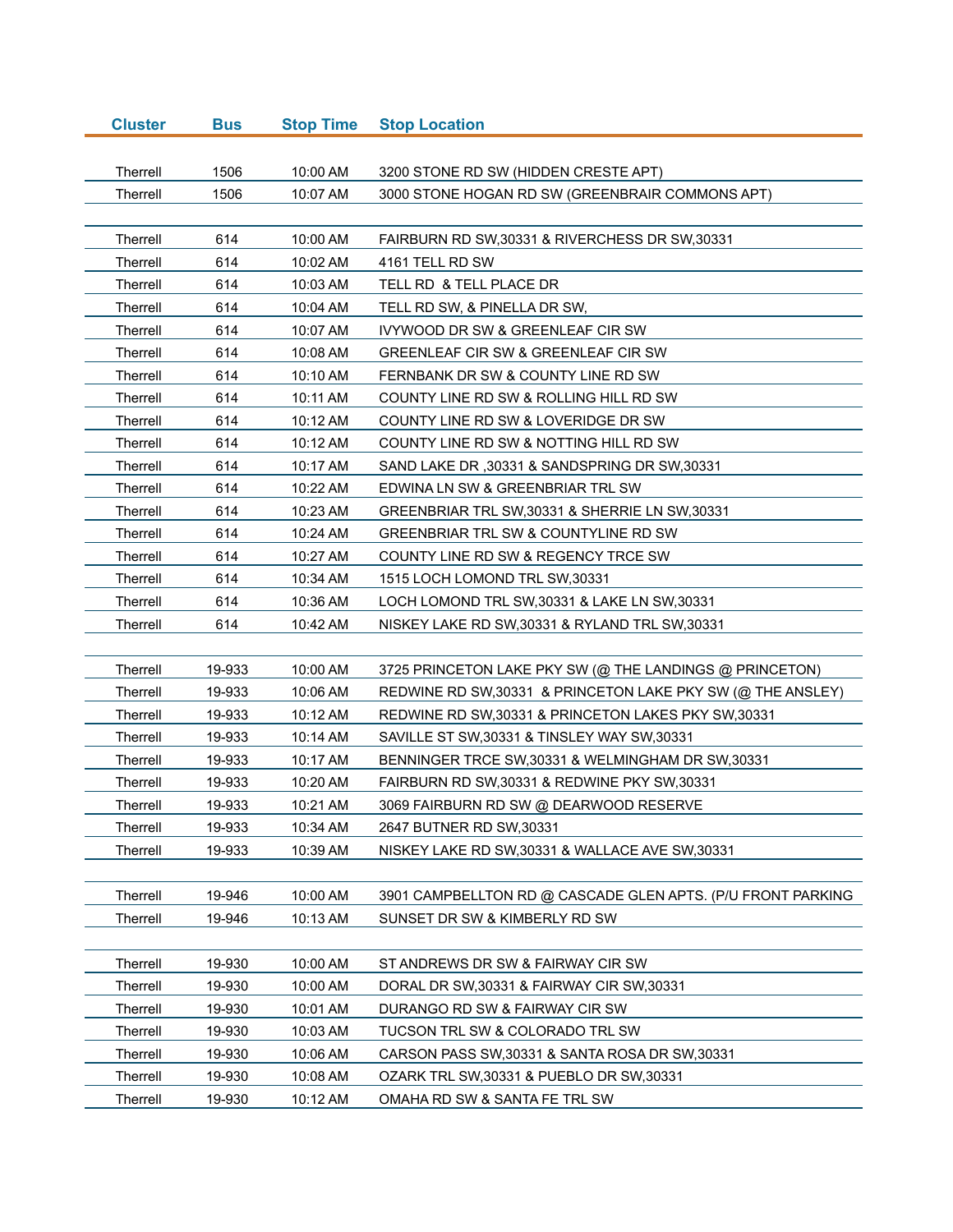| <b>Cluster</b>  | <b>Bus</b> | <b>Stop Time</b> | <b>Stop Location</b>                                        |
|-----------------|------------|------------------|-------------------------------------------------------------|
|                 |            |                  |                                                             |
| Therrell        | 1506       | 10:00 AM         | 3200 STONE RD SW (HIDDEN CRESTE APT)                        |
| Therrell        | 1506       | 10:07 AM         | 3000 STONE HOGAN RD SW (GREENBRAIR COMMONS APT)             |
|                 |            |                  |                                                             |
| Therrell        | 614        | 10:00 AM         | FAIRBURN RD SW, 30331 & RIVERCHESS DR SW, 30331             |
| Therrell        | 614        | 10:02 AM         | 4161 TELL RD SW                                             |
| Therrell        | 614        | 10:03 AM         | TELL RD & TELL PLACE DR                                     |
| Therrell        | 614        | 10:04 AM         | TELL RD SW, & PINELLA DR SW,                                |
| Therrell        | 614        | 10:07 AM         | <b>IVYWOOD DR SW &amp; GREENLEAF CIR SW</b>                 |
| Therrell        | 614        | 10:08 AM         | GREENLEAF CIR SW & GREENLEAF CIR SW                         |
| Therrell        | 614        | 10:10 AM         | FERNBANK DR SW & COUNTY LINE RD SW                          |
| Therrell        | 614        | 10:11 AM         | COUNTY LINE RD SW & ROLLING HILL RD SW                      |
| Therrell        | 614        | 10:12 AM         | COUNTY LINE RD SW & LOVERIDGE DR SW                         |
| Therrell        | 614        | 10:12 AM         | COUNTY LINE RD SW & NOTTING HILL RD SW                      |
| Therrell        | 614        | 10:17 AM         | SAND LAKE DR, 30331 & SANDSPRING DR SW, 30331               |
| Therrell        | 614        | 10:22 AM         | EDWINA LN SW & GREENBRIAR TRL SW                            |
| Therrell        | 614        | 10:23 AM         | GREENBRIAR TRL SW, 30331 & SHERRIE LN SW, 30331             |
| Therrell        | 614        | 10:24 AM         | GREENBRIAR TRL SW & COUNTYLINE RD SW                        |
| Therrell        | 614        | 10:27 AM         | COUNTY LINE RD SW & REGENCY TRCE SW                         |
| Therrell        | 614        | 10:34 AM         | 1515 LOCH LOMOND TRL SW, 30331                              |
| Therrell        | 614        | 10:36 AM         | LOCH LOMOND TRL SW, 30331 & LAKE LN SW, 30331               |
| Therrell        | 614        | 10:42 AM         | NISKEY LAKE RD SW, 30331 & RYLAND TRL SW, 30331             |
|                 |            |                  |                                                             |
| Therrell        | 19-933     | 10:00 AM         | 3725 PRINCETON LAKE PKY SW (@ THE LANDINGS @ PRINCETON)     |
| Therrell        | 19-933     | 10:06 AM         | REDWINE RD SW, 30331 & PRINCETON LAKE PKY SW (@ THE ANSLEY) |
| Therrell        | 19-933     | 10:12 AM         | REDWINE RD SW, 30331 & PRINCETON LAKES PKY SW, 30331        |
| Therrell        | 19-933     | 10:14 AM         | SAVILLE ST SW, 30331 & TINSLEY WAY SW, 30331                |
| Therrell        | 19-933     | 10:17 AM         | BENNINGER TRCE SW, 30331 & WELMINGHAM DR SW, 30331          |
| Therrell        | 19-933     | 10:20 AM         | FAIRBURN RD SW, 30331 & REDWINE PKY SW, 30331               |
| <b>Therrell</b> | 19-933     | 10:21 AM         | 3069 FAIRBURN RD SW @ DEARWOOD RESERVE                      |
| Therrell        | 19-933     | 10:34 AM         | 2647 BUTNER RD SW, 30331                                    |
| Therrell        | 19-933     | 10:39 AM         | NISKEY LAKE RD SW, 30331 & WALLACE AVE SW, 30331            |
|                 |            |                  |                                                             |
| Therrell        | 19-946     | 10:00 AM         | 3901 CAMPBELLTON RD @ CASCADE GLEN APTS. (P/U FRONT PARKING |
| Therrell        | 19-946     | 10:13 AM         | SUNSET DR SW & KIMBERLY RD SW                               |
|                 |            |                  |                                                             |
| Therrell        | 19-930     | 10:00 AM         | ST ANDREWS DR SW & FAIRWAY CIR SW                           |
| Therrell        | 19-930     | 10:00 AM         | DORAL DR SW, 30331 & FAIRWAY CIR SW, 30331                  |
| Therrell        | 19-930     | 10:01 AM         | DURANGO RD SW & FAIRWAY CIR SW                              |
| Therrell        | 19-930     | 10:03 AM         | TUCSON TRL SW & COLORADO TRL SW                             |
| Therrell        | 19-930     | 10:06 AM         | CARSON PASS SW, 30331 & SANTA ROSA DR SW, 30331             |
| Therrell        | 19-930     | 10:08 AM         | OZARK TRL SW, 30331 & PUEBLO DR SW, 30331                   |
| Therrell        | 19-930     | 10:12 AM         | OMAHA RD SW & SANTA FE TRL SW                               |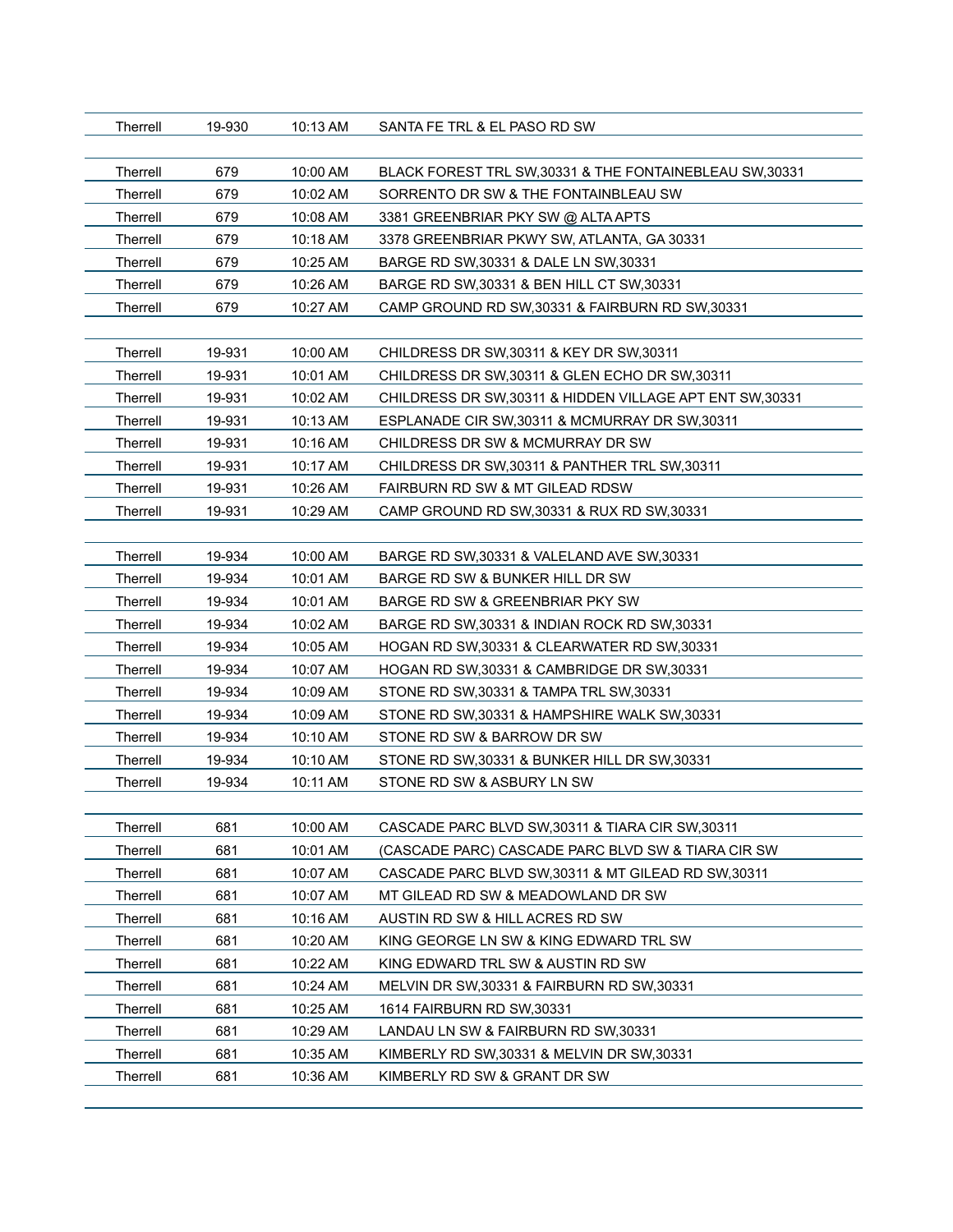| Therrell        | 19-930 | 10:13 AM | SANTA FE TRL & EL PASO RD SW                              |
|-----------------|--------|----------|-----------------------------------------------------------|
| Therrell        | 679    | 10:00 AM | BLACK FOREST TRL SW, 30331 & THE FONTAINEBLEAU SW, 30331  |
| Therrell        | 679    | 10:02 AM | SORRENTO DR SW & THE FONTAINBLEAU SW                      |
| Therrell        | 679    | 10:08 AM | 3381 GREENBRIAR PKY SW @ ALTA APTS                        |
| Therrell        | 679    | 10:18 AM | 3378 GREENBRIAR PKWY SW, ATLANTA, GA 30331                |
| Therrell        | 679    | 10:25 AM | BARGE RD SW, 30331 & DALE LN SW, 30331                    |
| Therrell        | 679    | 10:26 AM | BARGE RD SW, 30331 & BEN HILL CT SW, 30331                |
| Therrell        | 679    | 10:27 AM | CAMP GROUND RD SW, 30331 & FAIRBURN RD SW, 30331          |
|                 |        |          |                                                           |
| Therrell        | 19-931 | 10:00 AM | CHILDRESS DR SW, 30311 & KEY DR SW, 30311                 |
| Therrell        | 19-931 | 10:01 AM | CHILDRESS DR SW, 30311 & GLEN ECHO DR SW, 30311           |
| Therrell        | 19-931 | 10:02 AM | CHILDRESS DR SW, 30311 & HIDDEN VILLAGE APT ENT SW, 30331 |
| Therrell        | 19-931 | 10:13 AM | ESPLANADE CIR SW, 30311 & MCMURRAY DR SW, 30311           |
| Therrell        | 19-931 | 10:16 AM | CHILDRESS DR SW & MCMURRAY DR SW                          |
| Therrell        | 19-931 | 10:17 AM | CHILDRESS DR SW, 30311 & PANTHER TRL SW, 30311            |
| Therrell        | 19-931 | 10:26 AM | FAIRBURN RD SW & MT GILEAD RDSW                           |
| Therrell        | 19-931 | 10:29 AM | CAMP GROUND RD SW, 30331 & RUX RD SW, 30331               |
|                 |        |          |                                                           |
| Therrell        | 19-934 | 10:00 AM | BARGE RD SW, 30331 & VALELAND AVE SW, 30331               |
| Therrell        | 19-934 | 10:01 AM | BARGE RD SW & BUNKER HILL DR SW                           |
| Therrell        | 19-934 | 10:01 AM | BARGE RD SW & GREENBRIAR PKY SW                           |
| Therrell        | 19-934 | 10:02 AM | BARGE RD SW, 30331 & INDIAN ROCK RD SW, 30331             |
| Therrell        | 19-934 | 10:05 AM | HOGAN RD SW, 30331 & CLEARWATER RD SW, 30331              |
| Therrell        | 19-934 | 10:07 AM | HOGAN RD SW, 30331 & CAMBRIDGE DR SW, 30331               |
| Therrell        | 19-934 | 10:09 AM | STONE RD SW, 30331 & TAMPA TRL SW, 30331                  |
| Therrell        | 19-934 | 10:09 AM | STONE RD SW, 30331 & HAMPSHIRE WALK SW, 30331             |
| Therrell        | 19-934 | 10:10 AM | STONE RD SW & BARROW DR SW                                |
| Therrell        | 19-934 | 10:10 AM | STONE RD SW, 30331 & BUNKER HILL DR SW, 30331             |
| Therrell        | 19-934 | 10:11 AM | STONE RD SW & ASBURY LN SW                                |
|                 |        |          |                                                           |
| Therrell        | 681    | 10:00 AM | CASCADE PARC BLVD SW.30311 & TIARA CIR SW.30311           |
| Therrell        | 681    | 10:01 AM | (CASCADE PARC) CASCADE PARC BLVD SW & TIARA CIR SW        |
| Therrell        | 681    | 10:07 AM | CASCADE PARC BLVD SW, 30311 & MT GILEAD RD SW, 30311      |
| Therrell        | 681    | 10:07 AM | MT GILEAD RD SW & MEADOWLAND DR SW                        |
| Therrell        | 681    | 10:16 AM | AUSTIN RD SW & HILL ACRES RD SW                           |
| Therrell        | 681    | 10:20 AM | KING GEORGE LN SW & KING EDWARD TRL SW                    |
| Therrell        | 681    | 10:22 AM | KING EDWARD TRL SW & AUSTIN RD SW                         |
| Therrell        | 681    | 10:24 AM | MELVIN DR SW, 30331 & FAIRBURN RD SW, 30331               |
| <b>Therrell</b> | 681    | 10:25 AM | 1614 FAIRBURN RD SW, 30331                                |
| Therrell        | 681    | 10:29 AM | LANDAU LN SW & FAIRBURN RD SW, 30331                      |
| Therrell        | 681    | 10:35 AM | KIMBERLY RD SW, 30331 & MELVIN DR SW, 30331               |
| Therrell        | 681    | 10:36 AM | KIMBERLY RD SW & GRANT DR SW                              |
|                 |        |          |                                                           |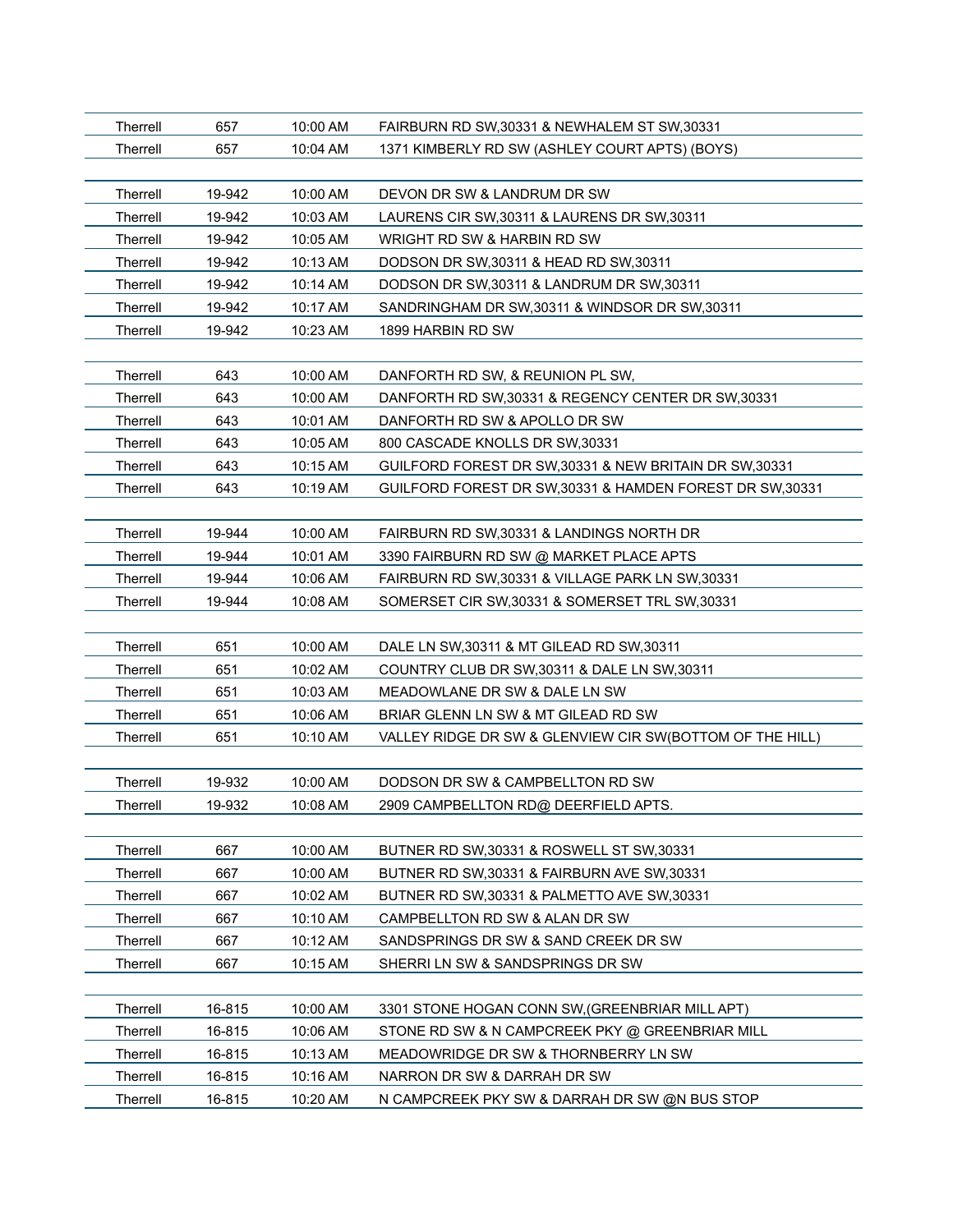| Therrell        | 657    | 10:00 AM | FAIRBURN RD SW, 30331 & NEWHALEM ST SW, 30331             |
|-----------------|--------|----------|-----------------------------------------------------------|
| Therrell        | 657    | 10:04 AM | 1371 KIMBERLY RD SW (ASHLEY COURT APTS) (BOYS)            |
|                 |        |          |                                                           |
| <b>Therrell</b> | 19-942 | 10:00 AM | DEVON DR SW & LANDRUM DR SW                               |
| <b>Therrell</b> | 19-942 | 10:03 AM | LAURENS CIR SW, 30311 & LAURENS DR SW, 30311              |
| <b>Therrell</b> | 19-942 | 10:05 AM | WRIGHT RD SW & HARBIN RD SW                               |
| <b>Therrell</b> | 19-942 | 10:13 AM | DODSON DR SW, 30311 & HEAD RD SW, 30311                   |
| Therrell        | 19-942 | 10:14 AM | DODSON DR SW,30311 & LANDRUM DR SW,30311                  |
| Therrell        | 19-942 | 10:17 AM | SANDRINGHAM DR SW, 30311 & WINDSOR DR SW, 30311           |
| <b>Therrell</b> | 19-942 | 10:23 AM | 1899 HARBIN RD SW                                         |
|                 |        |          |                                                           |
| <b>Therrell</b> | 643    | 10:00 AM | DANFORTH RD SW, & REUNION PL SW,                          |
| <b>Therrell</b> | 643    | 10:00 AM | DANFORTH RD SW, 30331 & REGENCY CENTER DR SW, 30331       |
| <b>Therrell</b> | 643    | 10:01 AM | DANFORTH RD SW & APOLLO DR SW                             |
| Therrell        | 643    | 10:05 AM | 800 CASCADE KNOLLS DR SW, 30331                           |
| <b>Therrell</b> | 643    | 10:15 AM | GUILFORD FOREST DR SW, 30331 & NEW BRITAIN DR SW, 30331   |
| Therrell        | 643    | 10:19 AM | GUILFORD FOREST DR SW, 30331 & HAMDEN FOREST DR SW, 30331 |
|                 |        |          |                                                           |
| <b>Therrell</b> | 19-944 | 10:00 AM | FAIRBURN RD SW.30331 & LANDINGS NORTH DR                  |
| <b>Therrell</b> | 19-944 | 10:01 AM | 3390 FAIRBURN RD SW @ MARKET PLACE APTS                   |
| Therrell        | 19-944 | 10:06 AM | FAIRBURN RD SW, 30331 & VILLAGE PARK LN SW, 30331         |
| Therrell        | 19-944 | 10:08 AM | SOMERSET CIR SW, 30331 & SOMERSET TRL SW, 30331           |
|                 |        |          |                                                           |
| <b>Therrell</b> | 651    | 10:00 AM | DALE LN SW, 30311 & MT GILEAD RD SW, 30311                |
| <b>Therrell</b> | 651    | 10:02 AM | COUNTRY CLUB DR SW, 30311 & DALE LN SW, 30311             |
| <b>Therrell</b> | 651    | 10:03 AM | MEADOWLANE DR SW & DALE LN SW                             |
| Therrell        | 651    | 10:06 AM | BRIAR GLENN LN SW & MT GILEAD RD SW                       |
| <b>Therrell</b> | 651    | 10:10 AM | VALLEY RIDGE DR SW & GLENVIEW CIR SW(BOTTOM OF THE HILL)  |
|                 |        |          |                                                           |
| Therrell        | 19-932 | 10:00 AM | DODSON DR SW & CAMPBELLTON RD SW                          |
| Therrell        | 19-932 | 10:08 AM | 2909 CAMPBELLTON RD@ DEERFIELD APTS                       |
|                 |        |          |                                                           |
| Therrell        | 667    | 10:00 AM | BUTNER RD SW, 30331 & ROSWELL ST SW, 30331                |
| Therrell        | 667    | 10:00 AM | BUTNER RD SW, 30331 & FAIRBURN AVE SW, 30331              |
| Therrell        | 667    | 10:02 AM | BUTNER RD SW, 30331 & PALMETTO AVE SW, 30331              |
| <b>Therrell</b> | 667    | 10:10 AM | CAMPBELLTON RD SW & ALAN DR SW                            |
| Therrell        | 667    | 10:12 AM | SANDSPRINGS DR SW & SAND CREEK DR SW                      |
| Therrell        | 667    | 10:15 AM | SHERRI LN SW & SANDSPRINGS DR SW                          |
|                 |        |          |                                                           |
| Therrell        | 16-815 | 10:00 AM | 3301 STONE HOGAN CONN SW, (GREENBRIAR MILL APT)           |
| Therrell        | 16-815 | 10:06 AM | STONE RD SW & N CAMPCREEK PKY @ GREENBRIAR MILL           |
| Therrell        | 16-815 | 10:13 AM | MEADOWRIDGE DR SW & THORNBERRY LN SW                      |
| Therrell        | 16-815 | 10:16 AM | NARRON DR SW & DARRAH DR SW                               |
| Therrell        | 16-815 | 10:20 AM | N CAMPCREEK PKY SW & DARRAH DR SW @N BUS STOP             |
|                 |        |          |                                                           |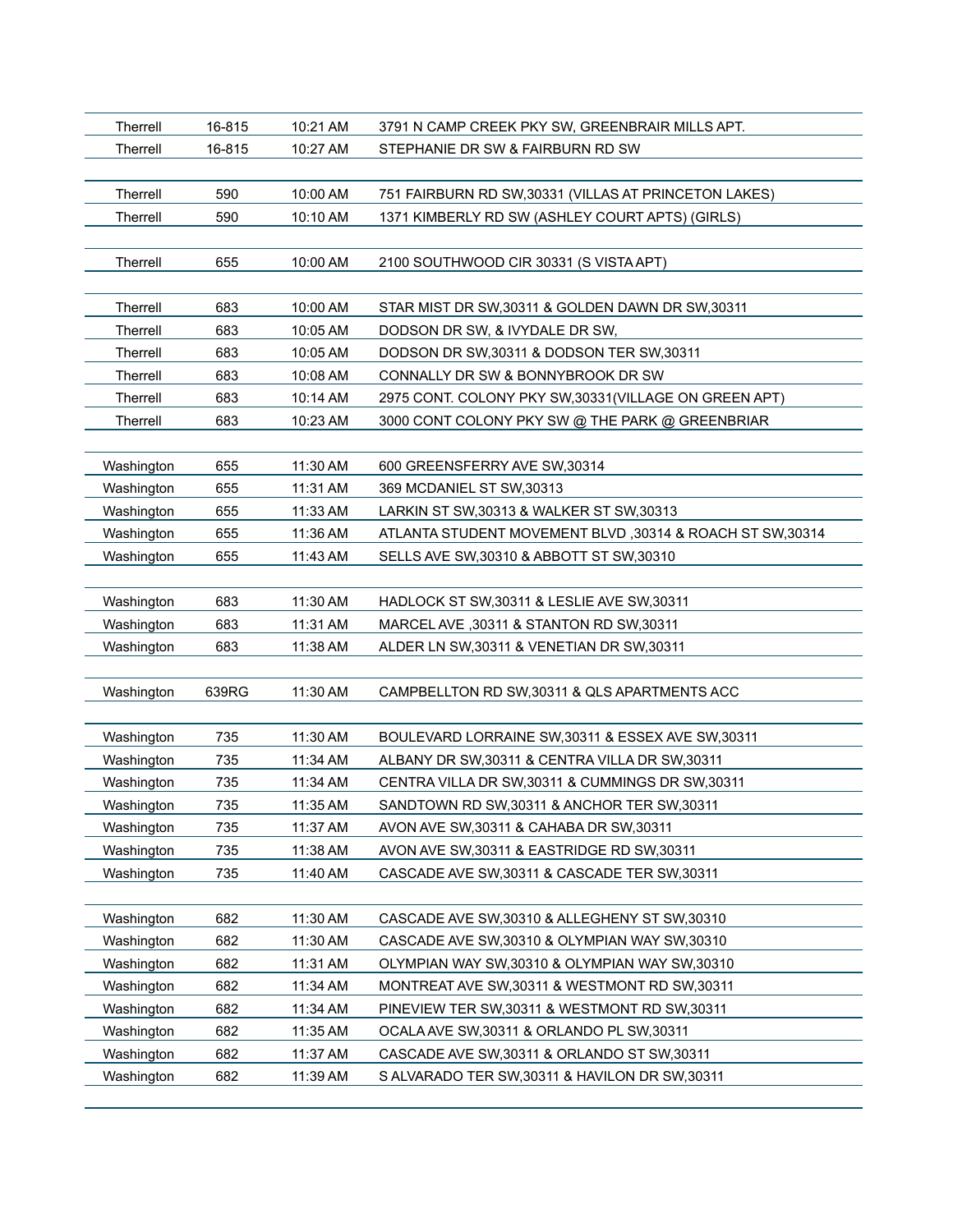| Therrell        | 16-815 | 10:21 AM | 3791 N CAMP CREEK PKY SW, GREENBRAIR MILLS APT.           |
|-----------------|--------|----------|-----------------------------------------------------------|
| Therrell        | 16-815 | 10:27 AM | STEPHANIE DR SW & FAIRBURN RD SW                          |
|                 |        |          |                                                           |
| Therrell        | 590    | 10:00 AM | 751 FAIRBURN RD SW, 30331 (VILLAS AT PRINCETON LAKES)     |
| Therrell        | 590    | 10:10 AM | 1371 KIMBERLY RD SW (ASHLEY COURT APTS) (GIRLS)           |
|                 |        |          |                                                           |
| <b>Therrell</b> | 655    | 10:00 AM | 2100 SOUTHWOOD CIR 30331 (S VISTA APT)                    |
|                 |        |          |                                                           |
| Therrell        | 683    | 10:00 AM | STAR MIST DR SW, 30311 & GOLDEN DAWN DR SW, 30311         |
| Therrell        | 683    | 10:05 AM | DODSON DR SW, & IVYDALE DR SW,                            |
| Therrell        | 683    | 10:05 AM | DODSON DR SW, 30311 & DODSON TER SW, 30311                |
| Therrell        | 683    | 10:08 AM | CONNALLY DR SW & BONNYBROOK DR SW                         |
| Therrell        | 683    | 10:14 AM | 2975 CONT. COLONY PKY SW,30331(VILLAGE ON GREEN APT)      |
| Therrell        | 683    | 10:23 AM | 3000 CONT COLONY PKY SW @ THE PARK @ GREENBRIAR           |
|                 |        |          |                                                           |
| Washington      | 655    | 11:30 AM | 600 GREENSFERRY AVE SW,30314                              |
| Washington      | 655    | 11:31 AM | 369 MCDANIEL ST SW, 30313                                 |
| Washington      | 655    | 11:33 AM | LARKIN ST SW, 30313 & WALKER ST SW, 30313                 |
| Washington      | 655    | 11:36 AM | ATLANTA STUDENT MOVEMENT BLVD, 30314 & ROACH ST SW, 30314 |
| Washington      | 655    | 11:43 AM | SELLS AVE SW, 30310 & ABBOTT ST SW, 30310                 |
|                 |        |          |                                                           |
| Washington      | 683    | 11:30 AM | HADLOCK ST SW, 30311 & LESLIE AVE SW, 30311               |
| Washington      | 683    | 11:31 AM | MARCEL AVE, 30311 & STANTON RD SW, 30311                  |
| Washington      | 683    | 11:38 AM | ALDER LN SW, 30311 & VENETIAN DR SW, 30311                |
|                 |        |          |                                                           |
| Washington      | 639RG  | 11:30 AM | CAMPBELLTON RD SW, 30311 & QLS APARTMENTS ACC             |
|                 |        |          |                                                           |
| Washington      | 735    | 11:30 AM | BOULEVARD LORRAINE SW, 30311 & ESSEX AVE SW, 30311        |
| Washington      | 735    | 11:34 AM | ALBANY DR SW, 30311 & CENTRA VILLA DR SW, 30311           |
| Washington      | 735    | 11:34 AM | CENTRA VILLA DR SW, 30311 & CUMMINGS DR SW, 30311         |
| Washington      | 735    | 11:35 AM | SANDTOWN RD SW, 30311 & ANCHOR TER SW, 30311              |
| Washington      | 735    | 11:37 AM | AVON AVE SW, 30311 & CAHABA DR SW, 30311                  |
| Washington      | 735    | 11:38 AM | AVON AVE SW, 30311 & EASTRIDGE RD SW, 30311               |
| Washington      | 735    | 11:40 AM | CASCADE AVE SW, 30311 & CASCADE TER SW, 30311             |
|                 |        |          |                                                           |
| Washington      | 682    | 11:30 AM | CASCADE AVE SW, 30310 & ALLEGHENY ST SW, 30310            |
| Washington      | 682    | 11:30 AM | CASCADE AVE SW, 30310 & OLYMPIAN WAY SW, 30310            |
| Washington      | 682    | 11:31 AM | OLYMPIAN WAY SW, 30310 & OLYMPIAN WAY SW, 30310           |
| Washington      | 682    | 11:34 AM | MONTREAT AVE SW, 30311 & WESTMONT RD SW, 30311            |
| Washington      | 682    | 11:34 AM | PINEVIEW TER SW, 30311 & WESTMONT RD SW, 30311            |
| Washington      | 682    | 11:35 AM | OCALA AVE SW, 30311 & ORLANDO PL SW, 30311                |
| Washington      | 682    | 11:37 AM | CASCADE AVE SW, 30311 & ORLANDO ST SW, 30311              |
| Washington      | 682    | 11:39 AM | S ALVARADO TER SW, 30311 & HAVILON DR SW, 30311           |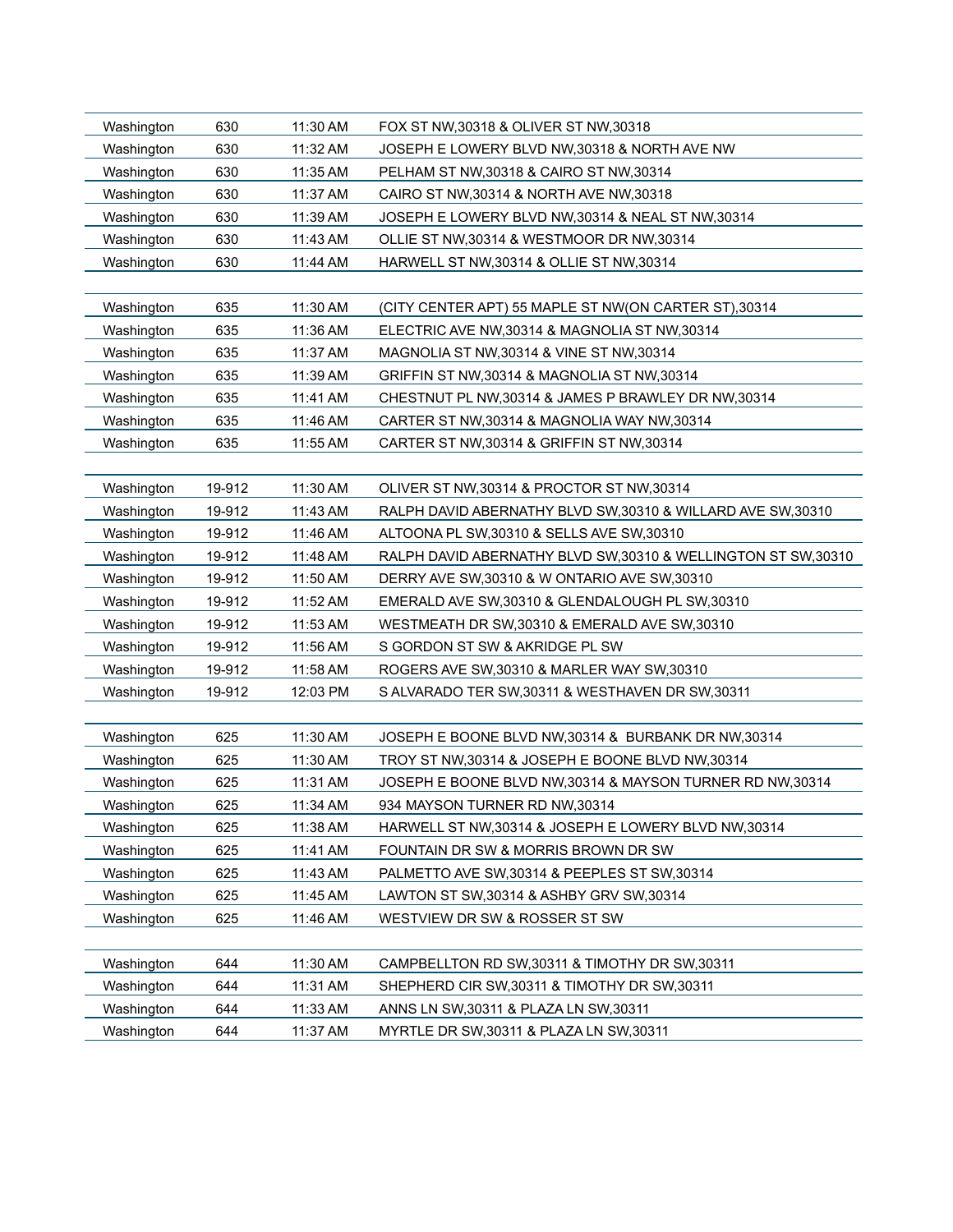| Washington<br>Washington | 630<br>630 | 11:30 AM<br>11:32 AM | FOX ST NW, 30318 & OLIVER ST NW, 30318<br>JOSEPH E LOWERY BLVD NW, 30318 & NORTH AVE NW |
|--------------------------|------------|----------------------|-----------------------------------------------------------------------------------------|
| Washington               | 630        | 11:35 AM             | PELHAM ST NW, 30318 & CAIRO ST NW, 30314                                                |
| Washington               | 630        | 11:37 AM             | CAIRO ST NW, 30314 & NORTH AVE NW, 30318                                                |
| Washington               | 630        | 11:39 AM             | JOSEPH E LOWERY BLVD NW, 30314 & NEAL ST NW, 30314                                      |
| Washington               | 630        | 11:43 AM             | OLLIE ST NW, 30314 & WESTMOOR DR NW, 30314                                              |
| Washington               | 630        | 11:44 AM             | HARWELL ST NW, 30314 & OLLIE ST NW, 30314                                               |
|                          |            |                      |                                                                                         |
| Washington               | 635        | 11:30 AM             | (CITY CENTER APT) 55 MAPLE ST NW(ON CARTER ST),30314                                    |
| Washington               | 635        | 11:36 AM             | ELECTRIC AVE NW, 30314 & MAGNOLIA ST NW, 30314                                          |
| Washington               | 635        | 11:37 AM             | MAGNOLIA ST NW, 30314 & VINE ST NW, 30314                                               |
| Washington               | 635        | 11:39 AM             | GRIFFIN ST NW, 30314 & MAGNOLIA ST NW, 30314                                            |
| Washington               | 635        | 11:41 AM             | CHESTNUT PL NW, 30314 & JAMES P BRAWLEY DR NW, 30314                                    |
| Washington               | 635        | 11:46 AM             | CARTER ST NW, 30314 & MAGNOLIA WAY NW, 30314                                            |
| Washington               | 635        | 11:55 AM             | CARTER ST NW, 30314 & GRIFFIN ST NW, 30314                                              |
|                          |            |                      |                                                                                         |
| Washington               | 19-912     | 11:30 AM             | OLIVER ST NW, 30314 & PROCTOR ST NW, 30314                                              |
| Washington               | 19-912     | 11:43 AM             | RALPH DAVID ABERNATHY BLVD SW, 30310 & WILLARD AVE SW, 30310                            |
| Washington               | 19-912     | 11:46 AM             | ALTOONA PL SW, 30310 & SELLS AVE SW, 30310                                              |
| Washington               | 19-912     | 11:48 AM             | RALPH DAVID ABERNATHY BLVD SW, 30310 & WELLINGTON ST SW, 30310                          |
| Washington               | 19-912     | 11:50 AM             | DERRY AVE SW, 30310 & W ONTARIO AVE SW, 30310                                           |
| Washington               | 19-912     | 11:52 AM             | EMERALD AVE SW, 30310 & GLENDALOUGH PL SW, 30310                                        |
| Washington               | 19-912     | 11:53 AM             | WESTMEATH DR SW, 30310 & EMERALD AVE SW, 30310                                          |
| Washington               | 19-912     | 11:56 AM             | S GORDON ST SW & AKRIDGE PL SW                                                          |
| Washington               | 19-912     | 11:58 AM             | ROGERS AVE SW, 30310 & MARLER WAY SW, 30310                                             |
| Washington               | 19-912     | 12:03 PM             | S ALVARADO TER SW, 30311 & WESTHAVEN DR SW, 30311                                       |
|                          |            |                      |                                                                                         |
| Washington               | 625        | 11:30 AM             | JOSEPH E BOONE BLVD NW, 30314 & BURBANK DR NW, 30314                                    |
| Washington               | 625        | 11:30 AM             | TROY ST NW, 30314 & JOSEPH E BOONE BLVD NW, 30314                                       |
| Washington               | 625        | 11:31 AM             | JOSEPH E BOONE BLVD NW, 30314 & MAYSON TURNER RD NW, 30314                              |
| Washington               | 625        | 11:34 AM             | 934 MAYSON TURNER RD NW,30314                                                           |
| Washington               | 625        | 11:38 AM             | HARWELL ST NW,30314 & JOSEPH E LOWERY BLVD NW,30314                                     |
| Washington               | 625        | 11:41 AM             | FOUNTAIN DR SW & MORRIS BROWN DR SW                                                     |
| Washington               | 625        | 11:43 AM             | PALMETTO AVE SW, 30314 & PEEPLES ST SW, 30314                                           |
| Washington               | 625        | 11:45 AM             | LAWTON ST SW, 30314 & ASHBY GRV SW, 30314                                               |
| Washington               | 625        | 11:46 AM             | WESTVIEW DR SW & ROSSER ST SW                                                           |
|                          |            |                      |                                                                                         |
| Washington               | 644        | 11:30 AM             | CAMPBELLTON RD SW, 30311 & TIMOTHY DR SW, 30311                                         |
| Washington               | 644        | 11:31 AM             | SHEPHERD CIR SW, 30311 & TIMOTHY DR SW, 30311                                           |
| Washington               | 644        | 11:33 AM             | ANNS LN SW, 30311 & PLAZA LN SW, 30311                                                  |
| Washington               | 644        | 11:37 AM             | MYRTLE DR SW, 30311 & PLAZA LN SW, 30311                                                |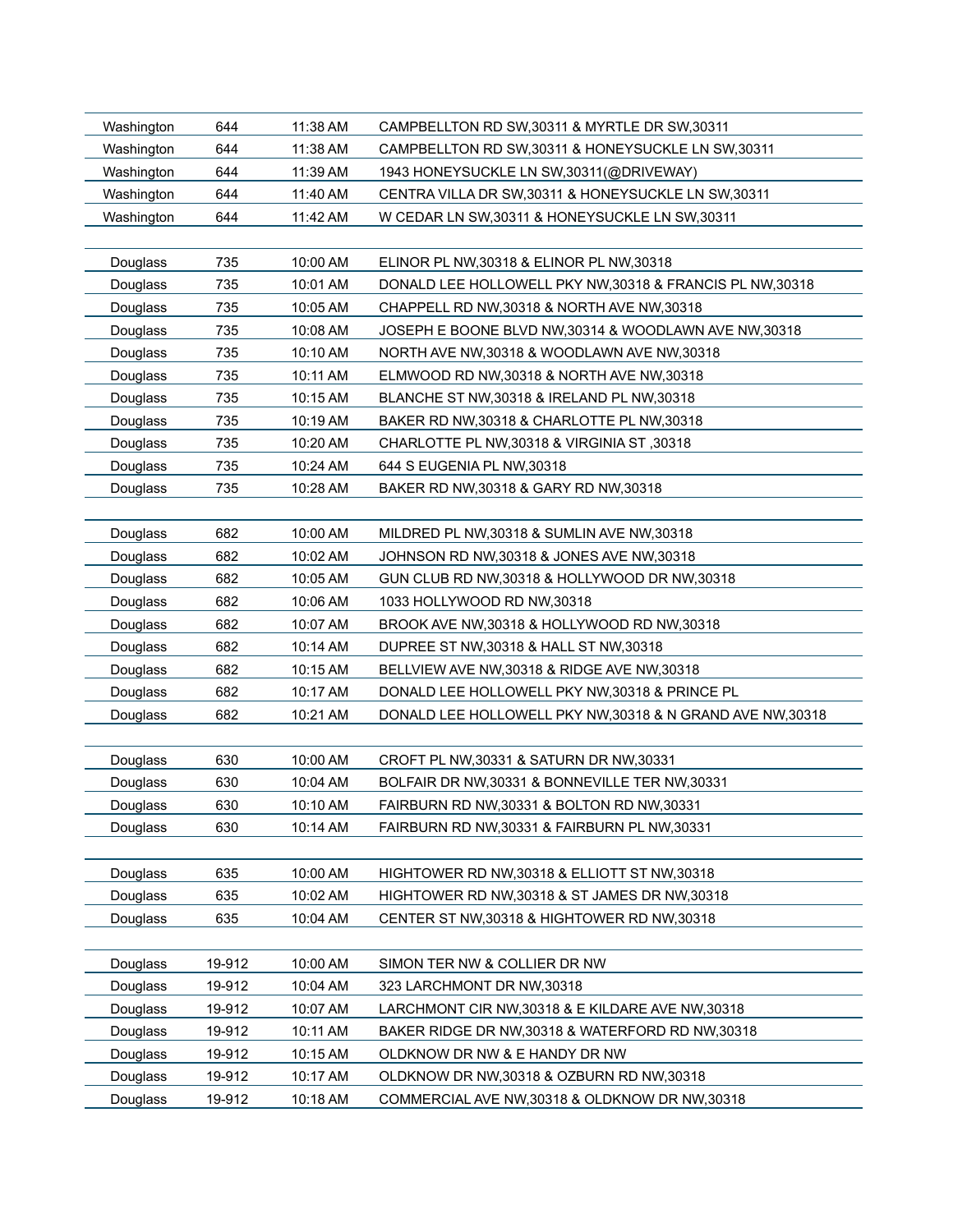| Washington | 644    | 11:38 AM | CAMPBELLTON RD SW, 30311 & MYRTLE DR SW, 30311           |
|------------|--------|----------|----------------------------------------------------------|
| Washington | 644    | 11:38 AM | CAMPBELLTON RD SW, 30311 & HONEYSUCKLE LN SW, 30311      |
| Washington | 644    | 11:39 AM | 1943 HONEYSUCKLE LN SW, 30311 (@DRIVEWAY)                |
| Washington | 644    | 11:40 AM | CENTRA VILLA DR SW, 30311 & HONEYSUCKLE LN SW, 30311     |
| Washington | 644    | 11:42 AM | W CEDAR LN SW, 30311 & HONEYSUCKLE LN SW, 30311          |
|            |        |          |                                                          |
| Douglass   | 735    | 10:00 AM | ELINOR PL NW, 30318 & ELINOR PL NW, 30318                |
| Douglass   | 735    | 10:01 AM | DONALD LEE HOLLOWELL PKY NW,30318 & FRANCIS PL NW,30318  |
| Douglass   | 735    | 10:05 AM | CHAPPELL RD NW, 30318 & NORTH AVE NW, 30318              |
| Douglass   | 735    | 10:08 AM | JOSEPH E BOONE BLVD NW, 30314 & WOODLAWN AVE NW, 30318   |
| Douglass   | 735    | 10:10 AM | NORTH AVE NW, 30318 & WOODLAWN AVE NW, 30318             |
| Douglass   | 735    | 10:11 AM | ELMWOOD RD NW,30318 & NORTH AVE NW,30318                 |
| Douglass   | 735    | 10:15 AM | BLANCHE ST NW, 30318 & IRELAND PL NW, 30318              |
| Douglass   | 735    | 10:19 AM | BAKER RD NW, 30318 & CHARLOTTE PL NW, 30318              |
| Douglass   | 735    | 10:20 AM | CHARLOTTE PL NW, 30318 & VIRGINIA ST, 30318              |
| Douglass   | 735    | 10:24 AM | 644 S EUGENIA PL NW, 30318                               |
| Douglass   | 735    | 10:28 AM | BAKER RD NW, 30318 & GARY RD NW, 30318                   |
|            |        |          |                                                          |
| Douglass   | 682    | 10:00 AM | MILDRED PL NW, 30318 & SUMLIN AVE NW, 30318              |
| Douglass   | 682    | 10:02 AM | JOHNSON RD NW, 30318 & JONES AVE NW, 30318               |
| Douglass   | 682    | 10:05 AM | GUN CLUB RD NW, 30318 & HOLLYWOOD DR NW, 30318           |
| Douglass   | 682    | 10:06 AM | 1033 HOLLYWOOD RD NW,30318                               |
| Douglass   | 682    | 10:07 AM | BROOK AVE NW, 30318 & HOLLYWOOD RD NW, 30318             |
| Douglass   | 682    | 10:14 AM | DUPREE ST NW, 30318 & HALL ST NW, 30318                  |
| Douglass   | 682    | 10:15 AM | BELLVIEW AVE NW, 30318 & RIDGE AVE NW, 30318             |
| Douglass   | 682    | 10:17 AM | DONALD LEE HOLLOWELL PKY NW,30318 & PRINCE PL            |
| Douglass   | 682    | 10:21 AM | DONALD LEE HOLLOWELL PKY NW,30318 & N GRAND AVE NW,30318 |
|            |        |          |                                                          |
| Douglass   | 630    | 10:00 AM | CROFT PL NW, 30331 & SATURN DR NW, 30331                 |
| Douglass   | 630    | 10:04 AM | BOLFAIR DR NW,30331 & BONNEVILLE TER NW,30331            |
| Douglass   | 630    | 10:10 AM | FAIRBURN RD NW, 30331 & BOLTON RD NW, 30331              |
| Douglass   | 630    | 10:14 AM | FAIRBURN RD NW, 30331 & FAIRBURN PL NW, 30331            |
|            |        |          |                                                          |
| Douglass   | 635    | 10:00 AM | HIGHTOWER RD NW, 30318 & ELLIOTT ST NW, 30318            |
| Douglass   | 635    | 10:02 AM | HIGHTOWER RD NW, 30318 & ST JAMES DR NW, 30318           |
| Douglass   | 635    | 10:04 AM | CENTER ST NW, 30318 & HIGHTOWER RD NW, 30318             |
|            |        |          |                                                          |
| Douglass   | 19-912 | 10:00 AM | SIMON TER NW & COLLIER DR NW                             |
| Douglass   | 19-912 | 10:04 AM | 323 LARCHMONT DR NW, 30318                               |
| Douglass   | 19-912 | 10:07 AM | LARCHMONT CIR NW, 30318 & E KILDARE AVE NW, 30318        |
| Douglass   | 19-912 | 10:11 AM | BAKER RIDGE DR NW, 30318 & WATERFORD RD NW, 30318        |
| Douglass   | 19-912 | 10:15 AM | OLDKNOW DR NW & E HANDY DR NW                            |
| Douglass   | 19-912 | 10:17 AM | OLDKNOW DR NW, 30318 & OZBURN RD NW, 30318               |
| Douglass   | 19-912 | 10:18 AM | COMMERCIAL AVE NW, 30318 & OLDKNOW DR NW, 30318          |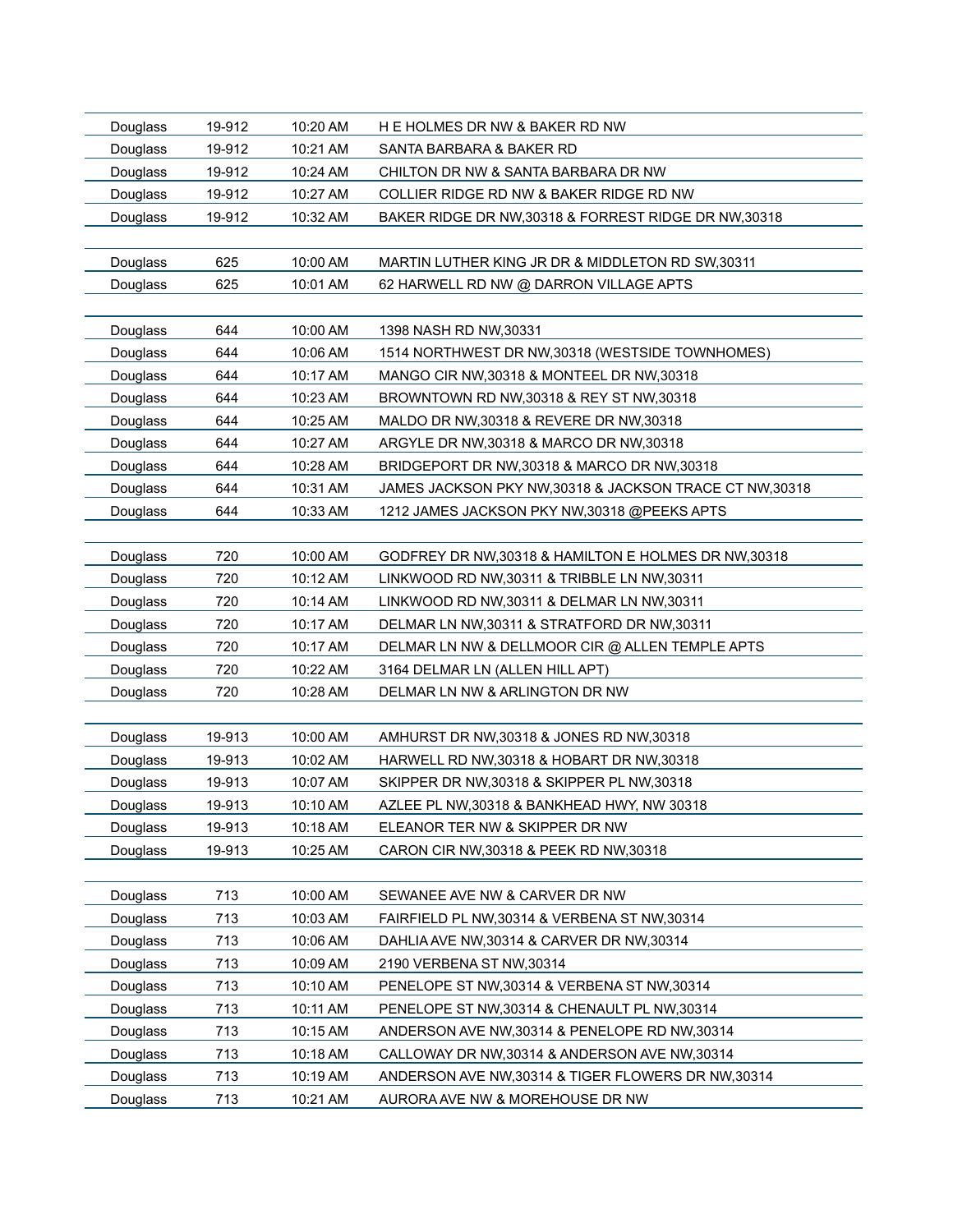| Douglass | 19-912 | 10:20 AM | H E HOLMES DR NW & BAKER RD NW                           |
|----------|--------|----------|----------------------------------------------------------|
| Douglass | 19-912 | 10:21 AM | SANTA BARBARA & BAKER RD                                 |
| Douglass | 19-912 | 10:24 AM | CHILTON DR NW & SANTA BARBARA DR NW                      |
| Douglass | 19-912 | 10:27 AM | COLLIER RIDGE RD NW & BAKER RIDGE RD NW                  |
| Douglass | 19-912 | 10:32 AM | BAKER RIDGE DR NW, 30318 & FORREST RIDGE DR NW, 30318    |
|          |        |          |                                                          |
| Douglass | 625    | 10:00 AM | MARTIN LUTHER KING JR DR & MIDDLETON RD SW, 30311        |
| Douglass | 625    | 10:01 AM | 62 HARWELL RD NW @ DARRON VILLAGE APTS                   |
|          |        |          |                                                          |
| Douglass | 644    | 10:00 AM | 1398 NASH RD NW, 30331                                   |
| Douglass | 644    | 10:06 AM | 1514 NORTHWEST DR NW, 30318 (WESTSIDE TOWNHOMES)         |
| Douglass | 644    | 10:17 AM | MANGO CIR NW, 30318 & MONTEEL DR NW, 30318               |
| Douglass | 644    | 10:23 AM | BROWNTOWN RD NW, 30318 & REY ST NW, 30318                |
| Douglass | 644    | 10:25 AM | MALDO DR NW, 30318 & REVERE DR NW, 30318                 |
| Douglass | 644    | 10:27 AM | ARGYLE DR NW, 30318 & MARCO DR NW, 30318                 |
| Douglass | 644    | 10:28 AM | BRIDGEPORT DR NW, 30318 & MARCO DR NW, 30318             |
| Douglass | 644    | 10:31 AM | JAMES JACKSON PKY NW, 30318 & JACKSON TRACE CT NW, 30318 |
| Douglass | 644    | 10:33 AM | 1212 JAMES JACKSON PKY NW,30318 @PEEKS APTS              |
|          |        |          |                                                          |
| Douglass | 720    | 10:00 AM | GODFREY DR NW, 30318 & HAMILTON E HOLMES DR NW, 30318    |
| Douglass | 720    | 10:12 AM | LINKWOOD RD NW, 30311 & TRIBBLE LN NW, 30311             |
| Douglass | 720    | 10:14 AM | LINKWOOD RD NW, 30311 & DELMAR LN NW, 30311              |
| Douglass | 720    | 10:17 AM | DELMAR LN NW, 30311 & STRATFORD DR NW, 30311             |
| Douglass | 720    | 10:17 AM | DELMAR LN NW & DELLMOOR CIR @ ALLEN TEMPLE APTS          |
| Douglass | 720    | 10:22 AM | 3164 DELMAR LN (ALLEN HILL APT)                          |
| Douglass | 720    | 10:28 AM | DELMAR LN NW & ARLINGTON DR NW                           |
|          |        |          |                                                          |
| Douglass | 19-913 | 10:00 AM | AMHURST DR NW, 30318 & JONES RD NW, 30318                |
| Douglass | 19-913 | 10:02 AM | HARWELL RD NW, 30318 & HOBART DR NW, 30318               |
| Douglass | 19-913 | 10:07 AM | SKIPPER DR NW, 30318 & SKIPPER PL NW, 30318              |
| Douglass | 19-913 | 10:10 AM | AZLEE PL NW,30318 & BANKHEAD HWY, NW 30318               |
| Douglass | 19-913 | 10:18 AM | ELEANOR TER NW & SKIPPER DR NW                           |
| Douglass | 19-913 | 10:25 AM | CARON CIR NW, 30318 & PEEK RD NW, 30318                  |
|          |        |          |                                                          |
| Douglass | 713    | 10:00 AM | SEWANEE AVE NW & CARVER DR NW                            |
| Douglass | 713    | 10:03 AM | FAIRFIELD PL NW, 30314 & VERBENA ST NW, 30314            |
| Douglass | 713    | 10:06 AM | DAHLIA AVE NW, 30314 & CARVER DR NW, 30314               |
| Douglass | 713    | 10:09 AM | 2190 VERBENA ST NW, 30314                                |
| Douglass | 713    | 10:10 AM | PENELOPE ST NW, 30314 & VERBENA ST NW, 30314             |
| Douglass | 713    | 10:11 AM | PENELOPE ST NW, 30314 & CHENAULT PL NW, 30314            |
| Douglass | 713    | 10:15 AM | ANDERSON AVE NW, 30314 & PENELOPE RD NW, 30314           |
| Douglass | 713    | 10:18 AM | CALLOWAY DR NW,30314 & ANDERSON AVE NW,30314             |
| Douglass | 713    | 10:19 AM | ANDERSON AVE NW, 30314 & TIGER FLOWERS DR NW, 30314      |
| Douglass | 713    | 10:21 AM | AURORA AVE NW & MOREHOUSE DR NW                          |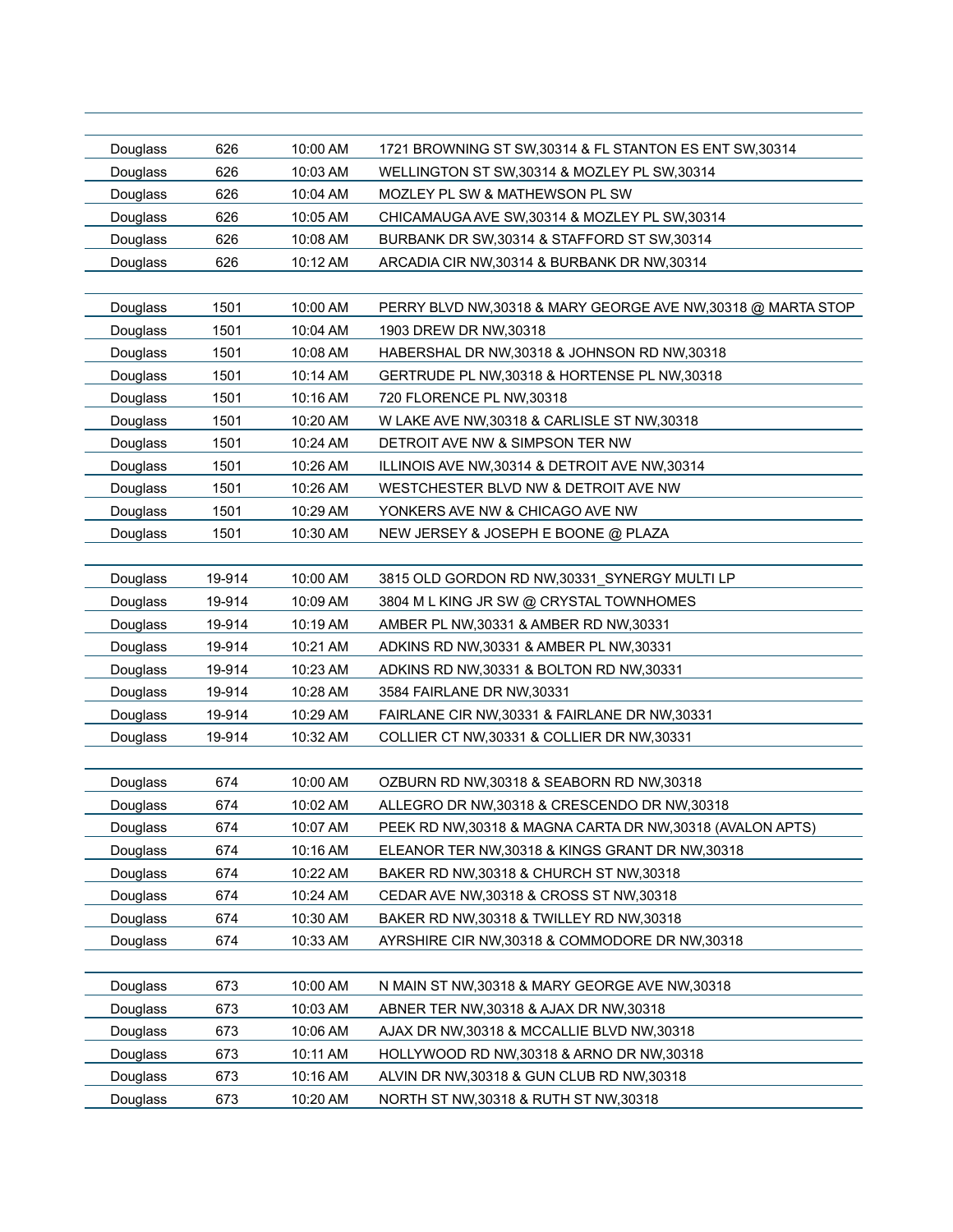| Douglass | 626    | 10:00 AM | 1721 BROWNING ST SW, 30314 & FL STANTON ES ENT SW, 30314      |
|----------|--------|----------|---------------------------------------------------------------|
| Douglass | 626    | 10:03 AM | WELLINGTON ST SW, 30314 & MOZLEY PL SW, 30314                 |
| Douglass | 626    | 10:04 AM | MOZLEY PL SW & MATHEWSON PL SW                                |
| Douglass | 626    | 10:05 AM | CHICAMAUGA AVE SW, 30314 & MOZLEY PL SW, 30314                |
| Douglass | 626    | 10:08 AM | BURBANK DR SW, 30314 & STAFFORD ST SW, 30314                  |
| Douglass | 626    | 10:12 AM | ARCADIA CIR NW, 30314 & BURBANK DR NW, 30314                  |
|          |        |          |                                                               |
| Douglass | 1501   | 10:00 AM | PERRY BLVD NW, 30318 & MARY GEORGE AVE NW, 30318 @ MARTA STOP |
| Douglass | 1501   | 10:04 AM | 1903 DREW DR NW, 30318                                        |
| Douglass | 1501   | 10:08 AM | HABERSHAL DR NW, 30318 & JOHNSON RD NW, 30318                 |
| Douglass | 1501   | 10:14 AM | GERTRUDE PL NW, 30318 & HORTENSE PL NW, 30318                 |
| Douglass | 1501   | 10:16 AM | 720 FLORENCE PL NW, 30318                                     |
| Douglass | 1501   | 10:20 AM | W LAKE AVE NW, 30318 & CARLISLE ST NW, 30318                  |
| Douglass | 1501   | 10:24 AM | DETROIT AVE NW & SIMPSON TER NW                               |
| Douglass | 1501   | 10:26 AM | ILLINOIS AVE NW, 30314 & DETROIT AVE NW, 30314                |
| Douglass | 1501   | 10:26 AM | WESTCHESTER BLVD NW & DETROIT AVE NW                          |
| Douglass | 1501   | 10:29 AM | YONKERS AVE NW & CHICAGO AVE NW                               |
| Douglass | 1501   | 10:30 AM | NEW JERSEY & JOSEPH E BOONE @ PLAZA                           |
|          |        |          |                                                               |
| Douglass | 19-914 | 10:00 AM | 3815 OLD GORDON RD NW, 30331 SYNERGY MULTI LP                 |
| Douglass | 19-914 | 10:09 AM | 3804 M L KING JR SW @ CRYSTAL TOWNHOMES                       |
| Douglass | 19-914 | 10:19 AM | AMBER PL NW, 30331 & AMBER RD NW, 30331                       |
| Douglass | 19-914 | 10:21 AM | ADKINS RD NW, 30331 & AMBER PL NW, 30331                      |
| Douglass | 19-914 | 10:23 AM | ADKINS RD NW,30331 & BOLTON RD NW,30331                       |
| Douglass | 19-914 | 10:28 AM | 3584 FAIRLANE DR NW, 30331                                    |
| Douglass | 19-914 | 10:29 AM | FAIRLANE CIR NW, 30331 & FAIRLANE DR NW, 30331                |
| Douglass | 19-914 | 10:32 AM | COLLIER CT NW, 30331 & COLLIER DR NW, 30331                   |
|          |        |          |                                                               |
| Douglass | 674    | 10:00 AM | OZBURN RD NW, 30318 & SEABORN RD NW, 30318                    |
| Douglass | 674    | 10:02 AM | ALLEGRO DR NW,30318 & CRESCENDO DR NW,30318                   |
| Douglass | 674    | 10:07 AM | PEEK RD NW,30318 & MAGNA CARTA DR NW,30318 (AVALON APTS)      |
| Douglass | 674    | 10:16 AM | ELEANOR TER NW, 30318 & KINGS GRANT DR NW, 30318              |
| Douglass | 674    | 10:22 AM | BAKER RD NW, 30318 & CHURCH ST NW, 30318                      |
| Douglass | 674    | 10:24 AM | CEDAR AVE NW, 30318 & CROSS ST NW, 30318                      |
| Douglass | 674    | 10:30 AM | BAKER RD NW, 30318 & TWILLEY RD NW, 30318                     |
| Douglass | 674    | 10:33 AM | AYRSHIRE CIR NW, 30318 & COMMODORE DR NW, 30318               |
|          |        |          |                                                               |
| Douglass | 673    | 10:00 AM | N MAIN ST NW, 30318 & MARY GEORGE AVE NW, 30318               |
| Douglass | 673    | 10:03 AM | ABNER TER NW, 30318 & AJAX DR NW, 30318                       |
| Douglass | 673    | 10:06 AM | AJAX DR NW, 30318 & MCCALLIE BLVD NW, 30318                   |
| Douglass | 673    | 10:11 AM | HOLLYWOOD RD NW,30318 & ARNO DR NW,30318                      |
| Douglass | 673    | 10:16 AM | ALVIN DR NW, 30318 & GUN CLUB RD NW, 30318                    |
| Douglass | 673    | 10:20 AM | NORTH ST NW, 30318 & RUTH ST NW, 30318                        |
|          |        |          |                                                               |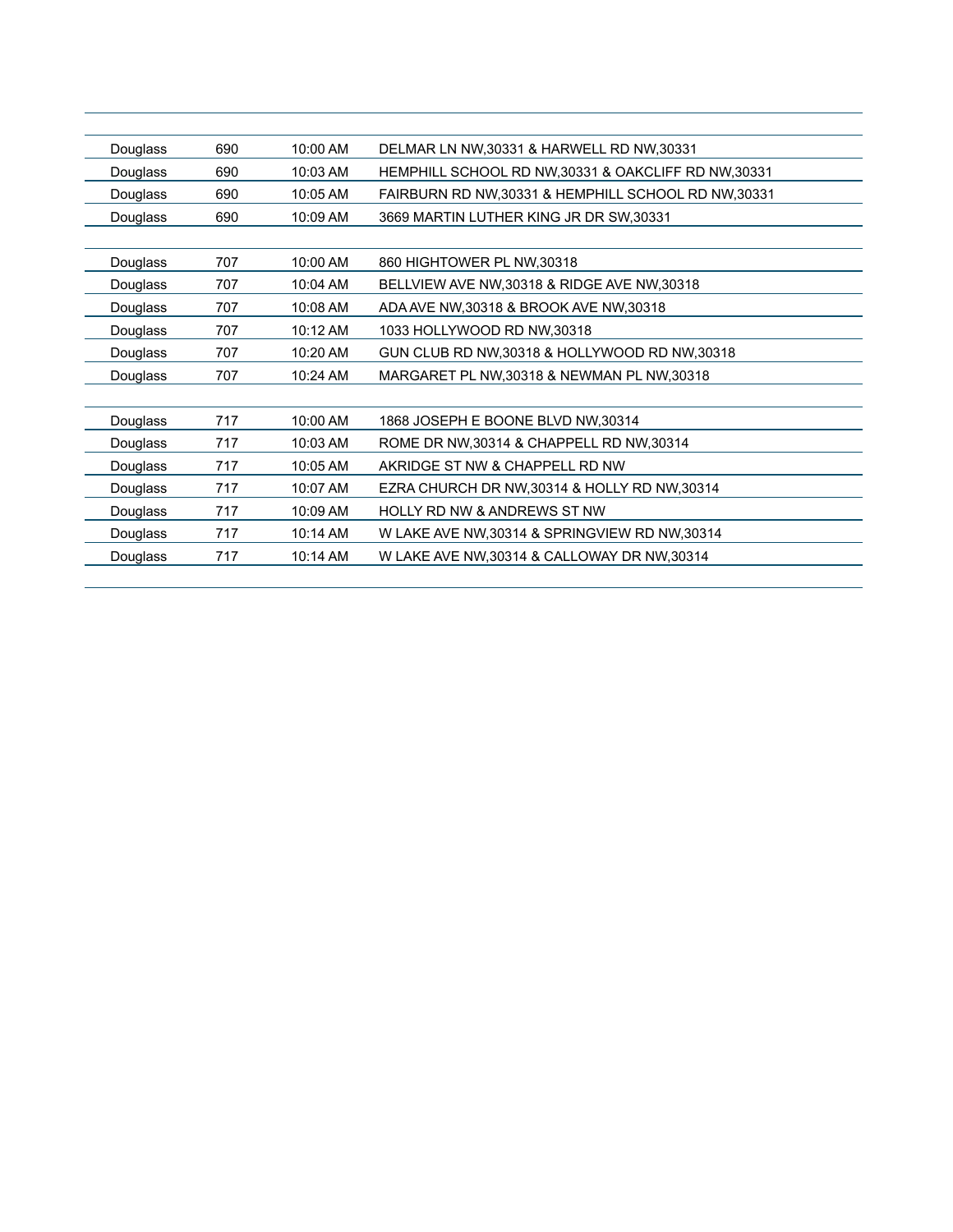| Douglass | 690 | 10:00 AM   | DELMAR LN NW, 30331 & HARWELL RD NW, 30331           |
|----------|-----|------------|------------------------------------------------------|
| Douglass | 690 | 10:03 AM   | HEMPHILL SCHOOL RD NW, 30331 & OAKCLIFF RD NW, 30331 |
| Douglass | 690 | 10:05 AM   | FAIRBURN RD NW, 30331 & HEMPHILL SCHOOL RD NW, 30331 |
| Douglass | 690 | $10:09$ AM | 3669 MARTIN LUTHER KING JR DR SW, 30331              |
|          |     |            |                                                      |
| Douglass | 707 | 10:00 AM   | 860 HIGHTOWER PL NW, 30318                           |
| Douglass | 707 | 10:04 AM   | BELLVIEW AVE NW, 30318 & RIDGE AVE NW, 30318         |
| Douglass | 707 | 10:08 AM   | ADA AVE NW, 30318 & BROOK AVE NW, 30318              |
| Douglass | 707 | 10:12 AM   | 1033 HOLLYWOOD RD NW,30318                           |
| Douglass | 707 | 10:20 AM   | GUN CLUB RD NW, 30318 & HOLLYWOOD RD NW, 30318       |
| Douglass | 707 | 10:24 AM   | MARGARET PL NW, 30318 & NEWMAN PL NW, 30318          |
|          |     |            |                                                      |
| Douglass | 717 | 10:00 AM   | 1868 JOSEPH E BOONE BLVD NW,30314                    |
| Douglass | 717 | 10:03 AM   | ROME DR NW, 30314 & CHAPPELL RD NW, 30314            |
| Douglass | 717 | 10:05 AM   | AKRIDGE ST NW & CHAPPELL RD NW                       |
| Douglass | 717 | 10:07 AM   | EZRA CHURCH DR NW, 30314 & HOLLY RD NW, 30314        |
| Douglass | 717 | 10:09 AM   | <b>HOLLY RD NW &amp; ANDREWS ST NW</b>               |
| Douglass | 717 | 10:14 AM   | W LAKE AVE NW, 30314 & SPRINGVIEW RD NW, 30314       |
| Douglass | 717 | 10:14 AM   | W LAKE AVE NW, 30314 & CALLOWAY DR NW, 30314         |
|          |     |            |                                                      |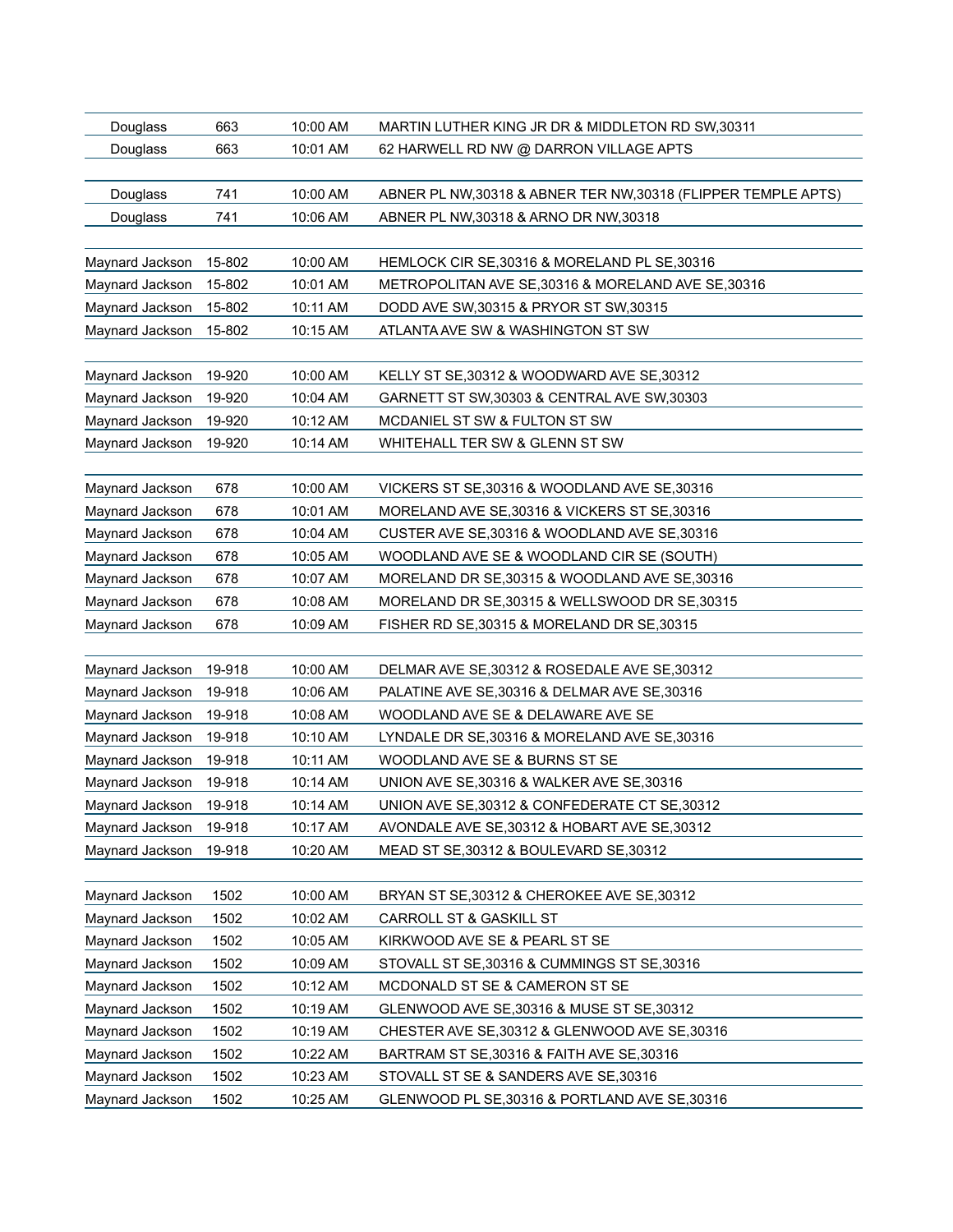| Douglass        | 663    | 10:00 AM | MARTIN LUTHER KING JR DR & MIDDLETON RD SW, 30311              |
|-----------------|--------|----------|----------------------------------------------------------------|
| Douglass        | 663    | 10:01 AM | 62 HARWELL RD NW @ DARRON VILLAGE APTS                         |
|                 |        |          |                                                                |
| Douglass        | 741    | 10:00 AM | ABNER PL NW, 30318 & ABNER TER NW, 30318 (FLIPPER TEMPLE APTS) |
| Douglass        | 741    | 10:06 AM | ABNER PL NW, 30318 & ARNO DR NW, 30318                         |
|                 |        |          |                                                                |
| Maynard Jackson | 15-802 | 10:00 AM | HEMLOCK CIR SE, 30316 & MORELAND PL SE, 30316                  |
| Maynard Jackson | 15-802 | 10:01 AM | METROPOLITAN AVE SE, 30316 & MORELAND AVE SE, 30316            |
| Maynard Jackson | 15-802 | 10:11 AM | DODD AVE SW, 30315 & PRYOR ST SW, 30315                        |
| Maynard Jackson | 15-802 | 10:15 AM | ATLANTA AVE SW & WASHINGTON ST SW                              |
|                 |        |          |                                                                |
| Maynard Jackson | 19-920 | 10:00 AM | KELLY ST SE, 30312 & WOODWARD AVE SE, 30312                    |
| Maynard Jackson | 19-920 | 10:04 AM | GARNETT ST SW, 30303 & CENTRAL AVE SW, 30303                   |
| Maynard Jackson | 19-920 | 10:12 AM | MCDANIEL ST SW & FULTON ST SW                                  |
| Maynard Jackson | 19-920 | 10:14 AM | WHITEHALL TER SW & GLENN ST SW                                 |
|                 |        |          |                                                                |
| Maynard Jackson | 678    | 10:00 AM | VICKERS ST SE, 30316 & WOODLAND AVE SE, 30316                  |
| Maynard Jackson | 678    | 10:01 AM | MORELAND AVE SE, 30316 & VICKERS ST SE, 30316                  |
| Maynard Jackson | 678    | 10:04 AM | CUSTER AVE SE, 30316 & WOODLAND AVE SE, 30316                  |
| Maynard Jackson | 678    | 10:05 AM | WOODLAND AVE SE & WOODLAND CIR SE (SOUTH)                      |
| Maynard Jackson | 678    | 10:07 AM | MORELAND DR SE, 30315 & WOODLAND AVE SE, 30316                 |
| Maynard Jackson | 678    | 10:08 AM | MORELAND DR SE, 30315 & WELLSWOOD DR SE, 30315                 |
| Maynard Jackson | 678    | 10:09 AM | FISHER RD SE, 30315 & MORELAND DR SE, 30315                    |
|                 |        |          |                                                                |
| Maynard Jackson | 19-918 | 10:00 AM | DELMAR AVE SE, 30312 & ROSEDALE AVE SE, 30312                  |
| Maynard Jackson | 19-918 | 10:06 AM | PALATINE AVE SE, 30316 & DELMAR AVE SE, 30316                  |
| Maynard Jackson | 19-918 | 10:08 AM | WOODLAND AVE SE & DELAWARE AVE SE                              |
| Maynard Jackson | 19-918 | 10:10 AM | LYNDALE DR SE, 30316 & MORELAND AVE SE, 30316                  |
| Maynard Jackson | 19-918 | 10:11 AM | WOODLAND AVE SE & BURNS ST SE                                  |
| Maynard Jackson | 19-918 | 10:14 AM | UNION AVE SE, 30316 & WALKER AVE SE, 30316                     |
| Maynard Jackson | 19-918 | 10:14 AM | UNION AVE SE, 30312 & CONFEDERATE CT SE, 30312                 |
| Maynard Jackson | 19-918 | 10:17 AM | AVONDALE AVE SE, 30312 & HOBART AVE SE, 30312                  |
| Maynard Jackson | 19-918 | 10:20 AM | MEAD ST SE, 30312 & BOULEVARD SE, 30312                        |
|                 |        |          |                                                                |
| Maynard Jackson | 1502   | 10:00 AM | BRYAN ST SE, 30312 & CHEROKEE AVE SE, 30312                    |
| Maynard Jackson | 1502   | 10:02 AM | CARROLL ST & GASKILL ST                                        |
| Maynard Jackson | 1502   | 10:05 AM | KIRKWOOD AVE SE & PEARL ST SE                                  |
| Maynard Jackson | 1502   | 10:09 AM | STOVALL ST SE, 30316 & CUMMINGS ST SE, 30316                   |
| Maynard Jackson | 1502   | 10:12 AM | MCDONALD ST SE & CAMERON ST SE                                 |
| Maynard Jackson | 1502   | 10:19 AM | GLENWOOD AVE SE, 30316 & MUSE ST SE, 30312                     |
| Maynard Jackson | 1502   | 10:19 AM | CHESTER AVE SE, 30312 & GLENWOOD AVE SE, 30316                 |
| Maynard Jackson | 1502   | 10:22 AM | BARTRAM ST SE, 30316 & FAITH AVE SE, 30316                     |
| Maynard Jackson | 1502   | 10:23 AM | STOVALL ST SE & SANDERS AVE SE, 30316                          |
| Maynard Jackson | 1502   | 10:25 AM | GLENWOOD PL SE, 30316 & PORTLAND AVE SE, 30316                 |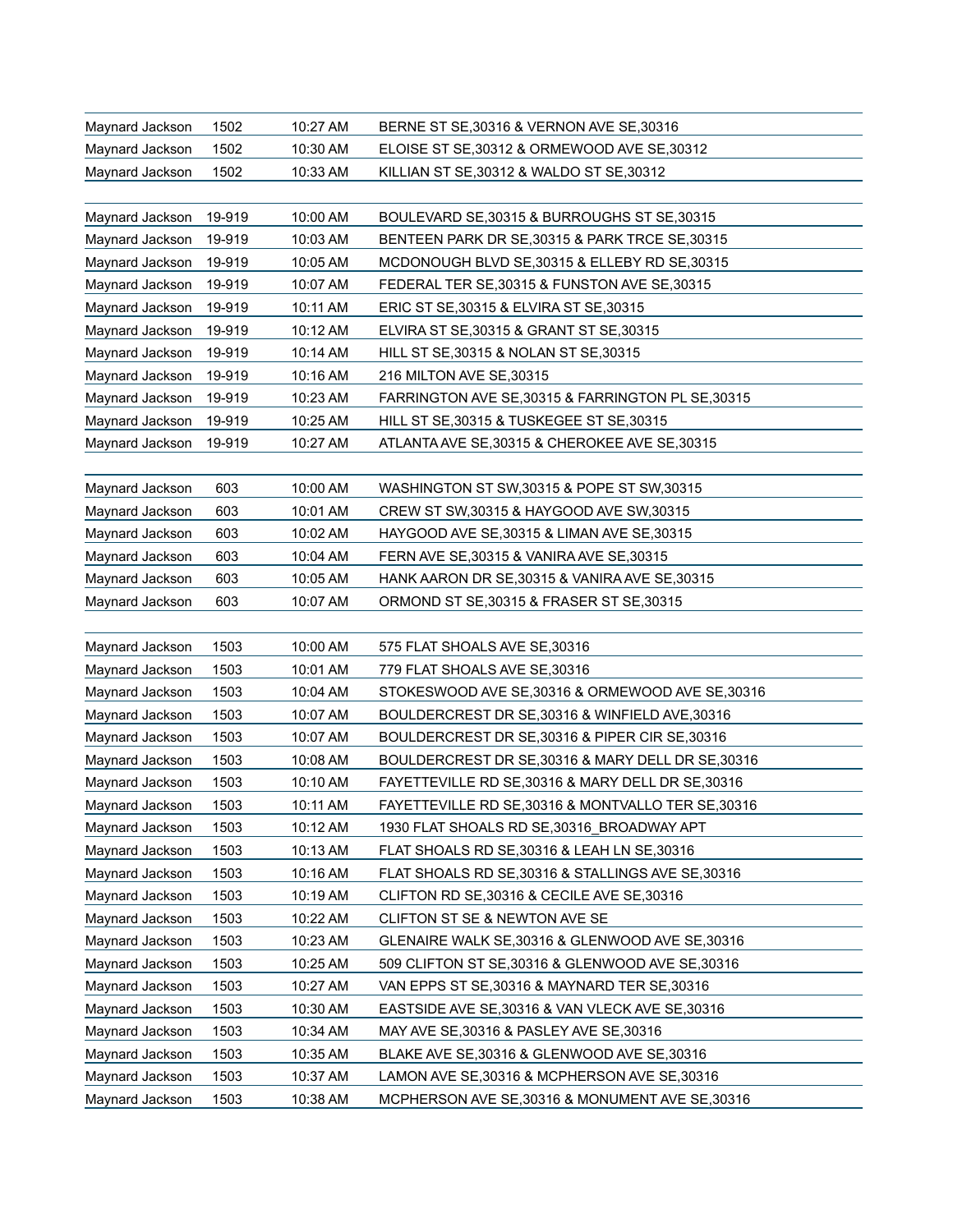| Maynard Jackson | 1502   | 10:27 AM | BERNE ST SE, 30316 & VERNON AVE SE, 30316           |
|-----------------|--------|----------|-----------------------------------------------------|
| Maynard Jackson | 1502   | 10:30 AM | ELOISE ST SE, 30312 & ORMEWOOD AVE SE, 30312        |
| Maynard Jackson | 1502   | 10:33 AM | KILLIAN ST SE, 30312 & WALDO ST SE, 30312           |
|                 |        |          |                                                     |
| Maynard Jackson | 19-919 | 10:00 AM | BOULEVARD SE, 30315 & BURROUGHS ST SE, 30315        |
| Maynard Jackson | 19-919 | 10:03 AM | BENTEEN PARK DR SE, 30315 & PARK TRCE SE, 30315     |
| Maynard Jackson | 19-919 | 10:05 AM | MCDONOUGH BLVD SE, 30315 & ELLEBY RD SE, 30315      |
| Maynard Jackson | 19-919 | 10:07 AM | FEDERAL TER SE, 30315 & FUNSTON AVE SE, 30315       |
| Maynard Jackson | 19-919 | 10:11 AM | ERIC ST SE, 30315 & ELVIRA ST SE, 30315             |
| Maynard Jackson | 19-919 | 10:12 AM | ELVIRA ST SE, 30315 & GRANT ST SE, 30315            |
| Maynard Jackson | 19-919 | 10:14 AM | HILL ST SE, 30315 & NOLAN ST SE, 30315              |
| Maynard Jackson | 19-919 | 10:16 AM | 216 MILTON AVE SE, 30315                            |
| Maynard Jackson | 19-919 | 10:23 AM | FARRINGTON AVE SE, 30315 & FARRINGTON PL SE, 30315  |
| Maynard Jackson | 19-919 | 10:25 AM | HILL ST SE, 30315 & TUSKEGEE ST SE, 30315           |
| Maynard Jackson | 19-919 | 10:27 AM | ATLANTA AVE SE, 30315 & CHEROKEE AVE SE, 30315      |
|                 |        |          |                                                     |
| Maynard Jackson | 603    | 10:00 AM | WASHINGTON ST SW, 30315 & POPE ST SW, 30315         |
| Maynard Jackson | 603    | 10:01 AM | CREW ST SW, 30315 & HAYGOOD AVE SW, 30315           |
| Maynard Jackson | 603    | 10:02 AM | HAYGOOD AVE SE, 30315 & LIMAN AVE SE, 30315         |
| Maynard Jackson | 603    | 10:04 AM | FERN AVE SE, 30315 & VANIRA AVE SE, 30315           |
| Maynard Jackson | 603    | 10:05 AM | HANK AARON DR SE, 30315 & VANIRA AVE SE, 30315      |
| Maynard Jackson | 603    | 10:07 AM | ORMOND ST SE, 30315 & FRASER ST SE, 30315           |
|                 |        |          |                                                     |
| Maynard Jackson | 1503   | 10:00 AM | 575 FLAT SHOALS AVE SE, 30316                       |
| Maynard Jackson | 1503   | 10:01 AM | 779 FLAT SHOALS AVE SE, 30316                       |
| Maynard Jackson | 1503   | 10:04 AM | STOKESWOOD AVE SE, 30316 & ORMEWOOD AVE SE, 30316   |
| Maynard Jackson | 1503   | 10:07 AM | BOULDERCREST DR SE, 30316 & WINFIELD AVE, 30316     |
| Maynard Jackson | 1503   | 10:07 AM | BOULDERCREST DR SE, 30316 & PIPER CIR SE, 30316     |
| Maynard Jackson | 1503   | 10:08 AM | BOULDERCREST DR SE, 30316 & MARY DELL DR SE, 30316  |
| Maynard Jackson | 1503   | 10:10 AM | FAYETTEVILLE RD SE, 30316 & MARY DELL DR SE, 30316  |
| Maynard Jackson | 1503   | 10:11 AM | FAYETTEVILLE RD SE, 30316 & MONTVALLO TER SE, 30316 |
| Maynard Jackson | 1503   | 10:12 AM | 1930 FLAT SHOALS RD SE, 30316 BROADWAY APT          |
| Maynard Jackson | 1503   | 10:13 AM | FLAT SHOALS RD SE, 30316 & LEAH LN SE, 30316        |
| Maynard Jackson | 1503   | 10:16 AM | FLAT SHOALS RD SE, 30316 & STALLINGS AVE SE, 30316  |
| Maynard Jackson | 1503   | 10:19 AM | CLIFTON RD SE, 30316 & CECILE AVE SE, 30316         |
| Maynard Jackson | 1503   | 10:22 AM | CLIFTON ST SE & NEWTON AVE SE                       |
| Maynard Jackson | 1503   | 10:23 AM | GLENAIRE WALK SE, 30316 & GLENWOOD AVE SE, 30316    |
| Maynard Jackson | 1503   | 10:25 AM | 509 CLIFTON ST SE, 30316 & GLENWOOD AVE SE, 30316   |
| Maynard Jackson | 1503   | 10:27 AM | VAN EPPS ST SE, 30316 & MAYNARD TER SE, 30316       |
| Maynard Jackson | 1503   | 10:30 AM | EASTSIDE AVE SE, 30316 & VAN VLECK AVE SE, 30316    |
| Maynard Jackson | 1503   | 10:34 AM | MAY AVE SE, 30316 & PASLEY AVE SE, 30316            |
| Maynard Jackson | 1503   | 10:35 AM | BLAKE AVE SE, 30316 & GLENWOOD AVE SE, 30316        |
| Maynard Jackson | 1503   | 10:37 AM | LAMON AVE SE, 30316 & MCPHERSON AVE SE, 30316       |
| Maynard Jackson | 1503   | 10:38 AM | MCPHERSON AVE SE, 30316 & MONUMENT AVE SE, 30316    |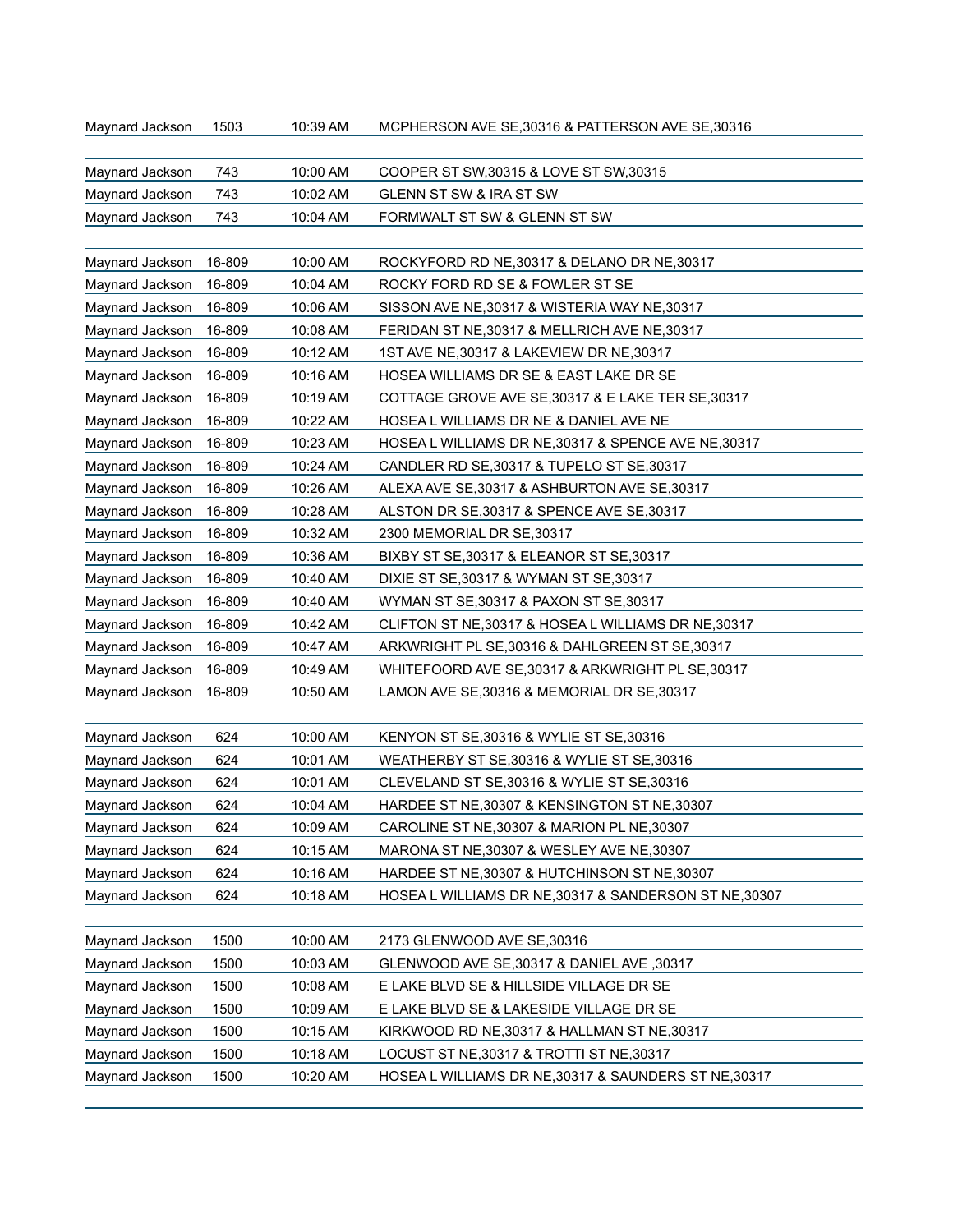| Maynard Jackson | 1503   | 10:39 AM | MCPHERSON AVE SE, 30316 & PATTERSON AVE SE, 30316      |
|-----------------|--------|----------|--------------------------------------------------------|
| Maynard Jackson | 743    | 10:00 AM | COOPER ST SW, 30315 & LOVE ST SW, 30315                |
| Maynard Jackson | 743    | 10:02 AM | GLENN ST SW & IRA ST SW                                |
| Maynard Jackson | 743    | 10:04 AM | FORMWALT ST SW & GLENN ST SW                           |
| Maynard Jackson | 16-809 | 10:00 AM | ROCKYFORD RD NE, 30317 & DELANO DR NE, 30317           |
| Maynard Jackson | 16-809 | 10:04 AM | ROCKY FORD RD SE & FOWLER ST SE                        |
| Maynard Jackson | 16-809 | 10:06 AM | SISSON AVE NE, 30317 & WISTERIA WAY NE, 30317          |
| Maynard Jackson | 16-809 | 10:08 AM | FERIDAN ST NE, 30317 & MELLRICH AVE NE, 30317          |
| Maynard Jackson | 16-809 | 10:12 AM | 1ST AVE NE, 30317 & LAKEVIEW DR NE, 30317              |
| Maynard Jackson | 16-809 | 10:16 AM | HOSEA WILLIAMS DR SE & EAST LAKE DR SE                 |
| Maynard Jackson | 16-809 | 10:19 AM | COTTAGE GROVE AVE SE, 30317 & E LAKE TER SE, 30317     |
| Maynard Jackson | 16-809 | 10:22 AM | HOSEA L WILLIAMS DR NE & DANIEL AVE NE                 |
| Maynard Jackson | 16-809 | 10:23 AM | HOSEA L WILLIAMS DR NE, 30317 & SPENCE AVE NE, 30317   |
| Maynard Jackson | 16-809 | 10:24 AM | CANDLER RD SE, 30317 & TUPELO ST SE, 30317             |
| Maynard Jackson | 16-809 | 10:26 AM | ALEXA AVE SE, 30317 & ASHBURTON AVE SE, 30317          |
| Maynard Jackson | 16-809 | 10:28 AM | ALSTON DR SE, 30317 & SPENCE AVE SE, 30317             |
| Maynard Jackson | 16-809 | 10:32 AM | 2300 MEMORIAL DR SE, 30317                             |
| Maynard Jackson | 16-809 | 10:36 AM | BIXBY ST SE, 30317 & ELEANOR ST SE, 30317              |
| Maynard Jackson | 16-809 | 10:40 AM | DIXIE ST SE, 30317 & WYMAN ST SE, 30317                |
| Maynard Jackson | 16-809 | 10:40 AM | WYMAN ST SE, 30317 & PAXON ST SE, 30317                |
| Maynard Jackson | 16-809 | 10:42 AM | CLIFTON ST NE, 30317 & HOSEA L WILLIAMS DR NE, 30317   |
| Maynard Jackson | 16-809 | 10:47 AM | ARKWRIGHT PL SE, 30316 & DAHLGREEN ST SE, 30317        |
| Maynard Jackson | 16-809 | 10:49 AM | WHITEFOORD AVE SE, 30317 & ARKWRIGHT PL SE, 30317      |
| Maynard Jackson | 16-809 | 10:50 AM | LAMON AVE SE, 30316 & MEMORIAL DR SE, 30317            |
| Maynard Jackson | 624    | 10:00 AM | KENYON ST SE, 30316 & WYLIE ST SE, 30316               |
| Maynard Jackson | 624    | 10:01 AM | WEATHERBY ST SE, 30316 & WYLIE ST SE, 30316            |
| Maynard Jackson | 624    | 10:01 AM | CLEVELAND ST SE, 30316 & WYLIE ST SE, 30316            |
| Maynard Jackson | 624    | 10:04 AM | HARDEE ST NE, 30307 & KENSINGTON ST NE, 30307          |
| Maynard Jackson | 624    | 10:09 AM | CAROLINE ST NE, 30307 & MARION PL NE, 30307            |
| Maynard Jackson | 624    | 10:15 AM | MARONA ST NE, 30307 & WESLEY AVE NE, 30307             |
| Maynard Jackson | 624    | 10:16 AM | HARDEE ST NE, 30307 & HUTCHINSON ST NE, 30307          |
| Maynard Jackson | 624    | 10:18 AM | HOSEA L WILLIAMS DR NE, 30317 & SANDERSON ST NE, 30307 |
| Maynard Jackson | 1500   | 10:00 AM | 2173 GLENWOOD AVE SE, 30316                            |
| Maynard Jackson | 1500   | 10:03 AM | GLENWOOD AVE SE, 30317 & DANIEL AVE, 30317             |
| Maynard Jackson | 1500   | 10:08 AM | E LAKE BLVD SE & HILLSIDE VILLAGE DR SE                |
| Maynard Jackson | 1500   | 10:09 AM | E LAKE BLVD SE & LAKESIDE VILLAGE DR SE                |
| Maynard Jackson | 1500   | 10:15 AM | KIRKWOOD RD NE, 30317 & HALLMAN ST NE, 30317           |
| Maynard Jackson | 1500   | 10:18 AM | LOCUST ST NE, 30317 & TROTTI ST NE, 30317              |
| Maynard Jackson | 1500   | 10:20 AM | HOSEA L WILLIAMS DR NE, 30317 & SAUNDERS ST NE, 30317  |
|                 |        |          |                                                        |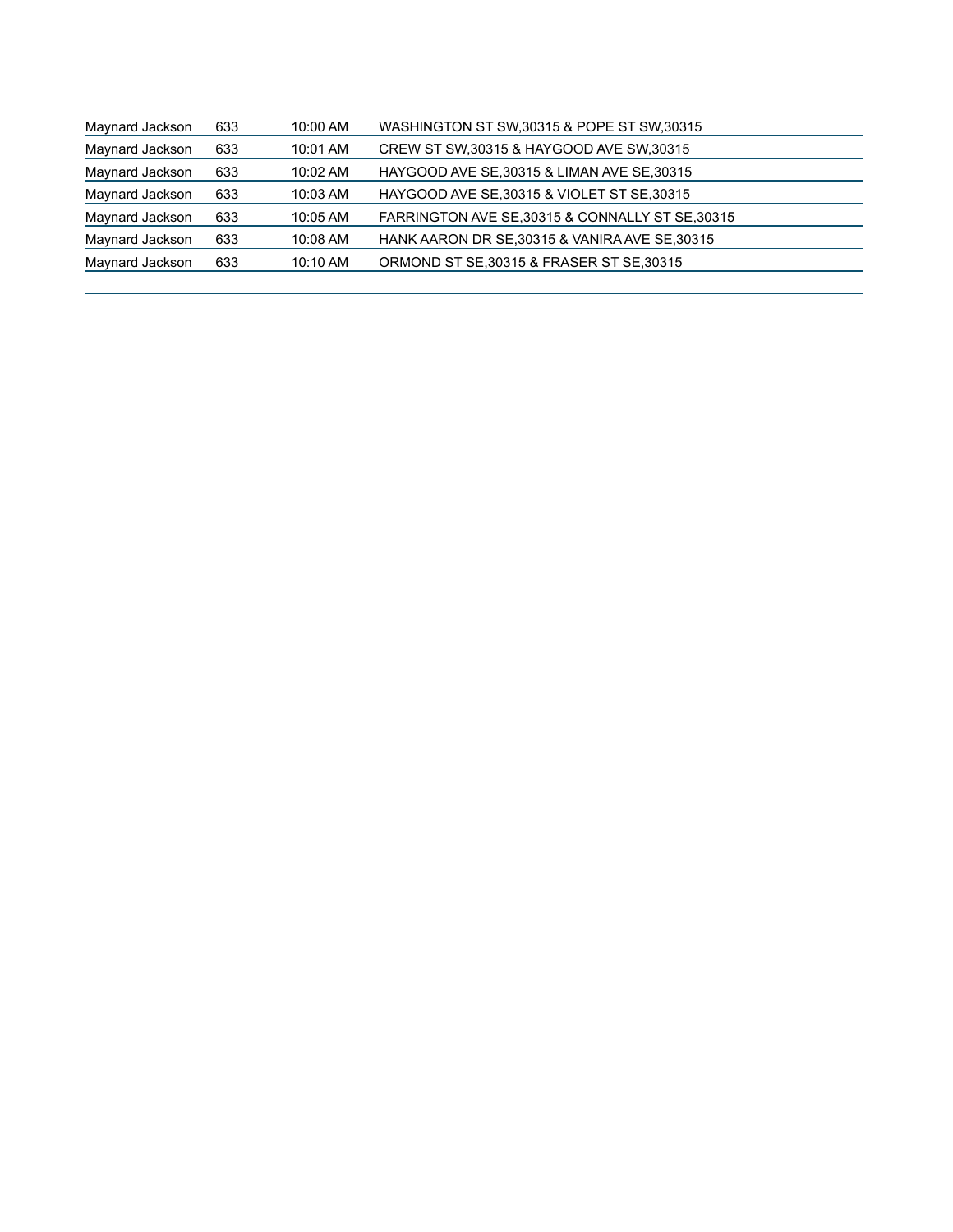| Maynard Jackson | 633 | 10:00 AM           | WASHINGTON ST SW, 30315 & POPE ST SW, 30315      |  |
|-----------------|-----|--------------------|--------------------------------------------------|--|
| Maynard Jackson | 633 | 10:01 AM           | CREW ST SW, 30315 & HAYGOOD AVE SW, 30315        |  |
| Maynard Jackson | 633 | $10:02 \text{ AM}$ | HAYGOOD AVE SE, 30315 & LIMAN AVE SE, 30315      |  |
| Maynard Jackson | 633 | $10:03$ AM         | HAYGOOD AVE SE, 30315 & VIOLET ST SE, 30315      |  |
| Maynard Jackson | 633 | 10:05 AM           | FARRINGTON AVE SE, 30315 & CONNALLY ST SE, 30315 |  |
| Maynard Jackson | 633 | 10:08 AM           | HANK AARON DR SE, 30315 & VANIRA AVE SE, 30315   |  |
| Maynard Jackson | 633 | $10:10$ AM         | ORMOND ST SE, 30315 & FRASER ST SE, 30315        |  |
|                 |     |                    |                                                  |  |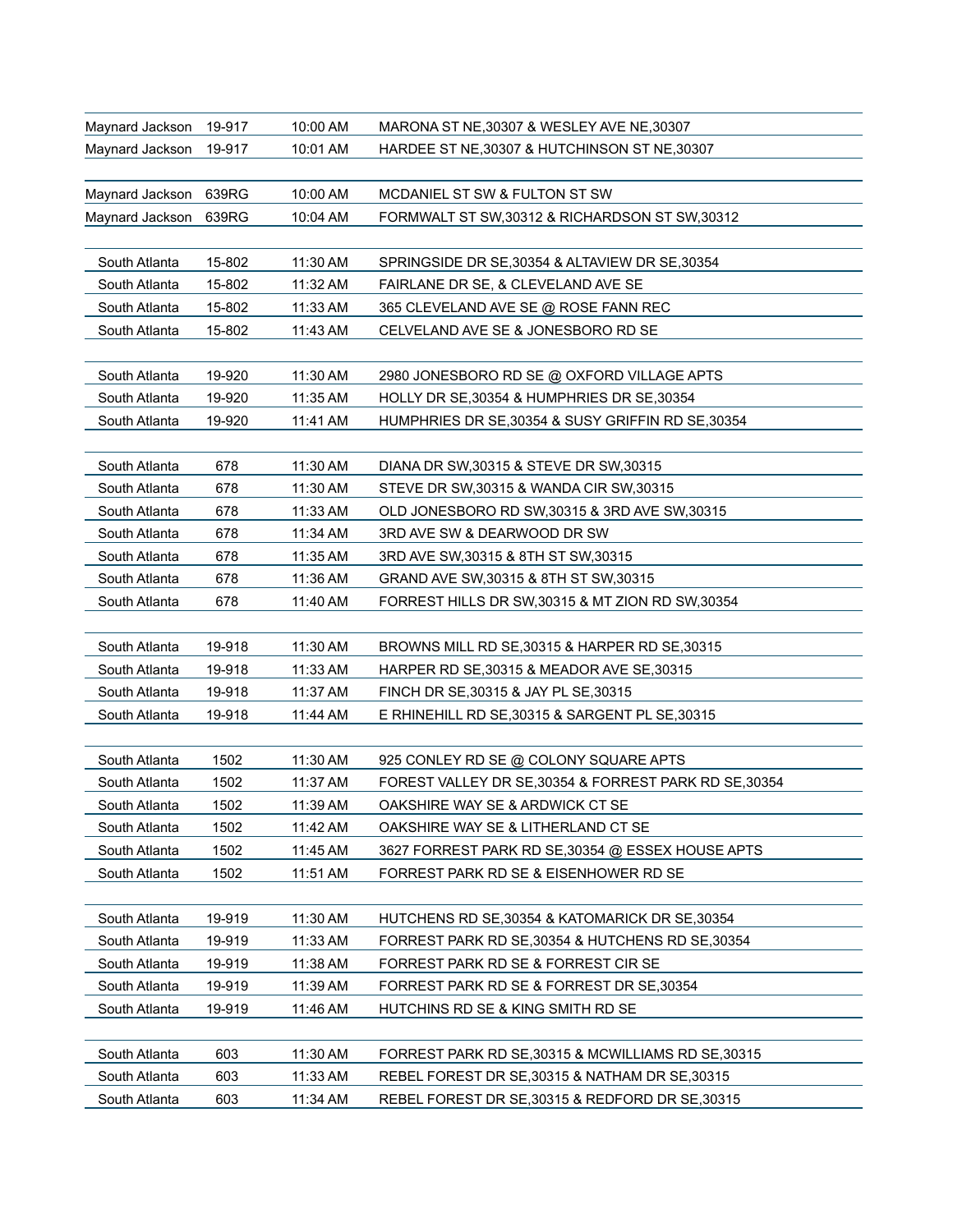| Maynard Jackson | 19-917 | 10:00 AM | MARONA ST NE, 30307 & WESLEY AVE NE, 30307             |
|-----------------|--------|----------|--------------------------------------------------------|
| Maynard Jackson | 19-917 | 10:01 AM | HARDEE ST NE, 30307 & HUTCHINSON ST NE, 30307          |
|                 |        |          |                                                        |
| Maynard Jackson | 639RG  | 10:00 AM | MCDANIEL ST SW & FULTON ST SW                          |
| Maynard Jackson | 639RG  | 10:04 AM | FORMWALT ST SW, 30312 & RICHARDSON ST SW, 30312        |
|                 |        |          |                                                        |
| South Atlanta   | 15-802 | 11:30 AM | SPRINGSIDE DR SE, 30354 & ALTAVIEW DR SE, 30354        |
| South Atlanta   | 15-802 | 11:32 AM | FAIRLANE DR SE, & CLEVELAND AVE SE                     |
| South Atlanta   | 15-802 | 11:33 AM | 365 CLEVELAND AVE SE @ ROSE FANN REC                   |
| South Atlanta   | 15-802 | 11:43 AM | CELVELAND AVE SE & JONESBORO RD SE                     |
|                 |        |          |                                                        |
| South Atlanta   | 19-920 | 11:30 AM | 2980 JONESBORO RD SE @ OXFORD VILLAGE APTS             |
| South Atlanta   | 19-920 | 11:35 AM | HOLLY DR SE, 30354 & HUMPHRIES DR SE, 30354            |
| South Atlanta   | 19-920 | 11:41 AM | HUMPHRIES DR SE, 30354 & SUSY GRIFFIN RD SE, 30354     |
|                 |        |          |                                                        |
| South Atlanta   | 678    | 11:30 AM | DIANA DR SW, 30315 & STEVE DR SW, 30315                |
| South Atlanta   | 678    | 11:30 AM | STEVE DR SW, 30315 & WANDA CIR SW, 30315               |
| South Atlanta   | 678    | 11:33 AM | OLD JONESBORO RD SW.30315 & 3RD AVE SW.30315           |
| South Atlanta   | 678    | 11:34 AM | 3RD AVE SW & DEARWOOD DR SW                            |
| South Atlanta   | 678    | 11:35 AM | 3RD AVE SW, 30315 & 8TH ST SW, 30315                   |
| South Atlanta   | 678    | 11:36 AM | GRAND AVE SW, 30315 & 8TH ST SW, 30315                 |
| South Atlanta   | 678    | 11:40 AM | FORREST HILLS DR SW, 30315 & MT ZION RD SW, 30354      |
|                 |        |          |                                                        |
| South Atlanta   | 19-918 | 11:30 AM | BROWNS MILL RD SE, 30315 & HARPER RD SE, 30315         |
| South Atlanta   | 19-918 | 11:33 AM | HARPER RD SE, 30315 & MEADOR AVE SE, 30315             |
| South Atlanta   | 19-918 | 11:37 AM | FINCH DR SE, 30315 & JAY PL SE, 30315                  |
| South Atlanta   | 19-918 | 11:44 AM | E RHINEHILL RD SE, 30315 & SARGENT PL SE, 30315        |
|                 |        |          |                                                        |
| South Atlanta   | 1502   | 11:30 AM | 925 CONLEY RD SE @ COLONY SQUARE APTS                  |
| South Atlanta   | 1502   | 11:37 AM | FOREST VALLEY DR SE, 30354 & FORREST PARK RD SE, 30354 |
| South Atlanta   | 1502   | 11:39 AM | OAKSHIRE WAY SE & ARDWICK CT SE                        |
| South Atlanta   | 1502   | 11:42 AM | OAKSHIRE WAY SE & LITHERLAND CT SE                     |
| South Atlanta   | 1502   | 11:45 AM | 3627 FORREST PARK RD SE, 30354 @ ESSEX HOUSE APTS      |
| South Atlanta   | 1502   | 11:51 AM | FORREST PARK RD SE & EISENHOWER RD SE                  |
|                 |        |          |                                                        |
| South Atlanta   | 19-919 | 11:30 AM | HUTCHENS RD SE, 30354 & KATOMARICK DR SE, 30354        |
| South Atlanta   | 19-919 | 11:33 AM | FORREST PARK RD SE, 30354 & HUTCHENS RD SE, 30354      |
| South Atlanta   | 19-919 | 11:38 AM | FORREST PARK RD SE & FORREST CIR SE                    |
| South Atlanta   | 19-919 | 11:39 AM | FORREST PARK RD SE & FORREST DR SE, 30354              |
| South Atlanta   | 19-919 | 11:46 AM | HUTCHINS RD SE & KING SMITH RD SE                      |
|                 |        |          |                                                        |
| South Atlanta   | 603    | 11:30 AM | FORREST PARK RD SE, 30315 & MCWILLIAMS RD SE, 30315    |
| South Atlanta   | 603    | 11:33 AM | REBEL FOREST DR SE, 30315 & NATHAM DR SE, 30315        |
| South Atlanta   | 603    | 11:34 AM | REBEL FOREST DR SE, 30315 & REDFORD DR SE, 30315       |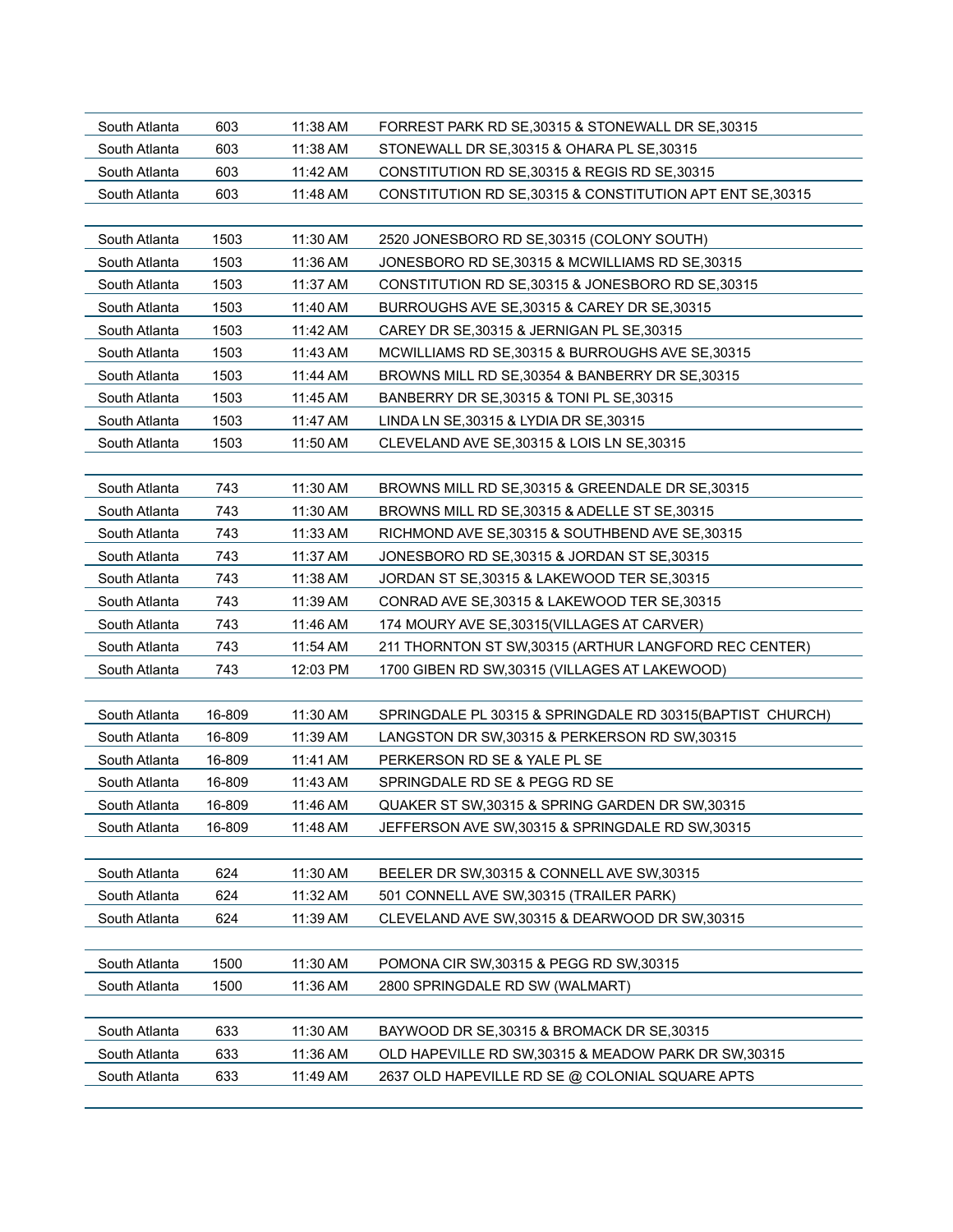| South Atlanta | 603    | 11:38 AM | FORREST PARK RD SE, 30315 & STONEWALL DR SE, 30315         |
|---------------|--------|----------|------------------------------------------------------------|
| South Atlanta | 603    | 11:38 AM | STONEWALL DR SE, 30315 & OHARA PL SE, 30315                |
| South Atlanta | 603    | 11:42 AM | CONSTITUTION RD SE, 30315 & REGIS RD SE, 30315             |
| South Atlanta | 603    | 11:48 AM | CONSTITUTION RD SE, 30315 & CONSTITUTION APT ENT SE, 30315 |
|               |        |          |                                                            |
| South Atlanta | 1503   | 11:30 AM | 2520 JONESBORO RD SE, 30315 (COLONY SOUTH)                 |
| South Atlanta | 1503   | 11:36 AM | JONESBORO RD SE, 30315 & MCWILLIAMS RD SE, 30315           |
| South Atlanta | 1503   | 11:37 AM | CONSTITUTION RD SE, 30315 & JONESBORO RD SE, 30315         |
| South Atlanta | 1503   | 11:40 AM | BURROUGHS AVE SE, 30315 & CAREY DR SE, 30315               |
| South Atlanta | 1503   | 11:42 AM | CAREY DR SE.30315 & JERNIGAN PL SE.30315                   |
| South Atlanta | 1503   | 11:43 AM | MCWILLIAMS RD SE, 30315 & BURROUGHS AVE SE, 30315          |
| South Atlanta | 1503   | 11:44 AM | BROWNS MILL RD SE, 30354 & BANBERRY DR SE, 30315           |
| South Atlanta | 1503   | 11:45 AM | BANBERRY DR SE, 30315 & TONI PL SE, 30315                  |
| South Atlanta | 1503   | 11:47 AM | LINDA LN SE, 30315 & LYDIA DR SE, 30315                    |
| South Atlanta | 1503   | 11:50 AM | CLEVELAND AVE SE, 30315 & LOIS LN SE, 30315                |
|               |        |          |                                                            |
| South Atlanta | 743    | 11:30 AM | BROWNS MILL RD SE, 30315 & GREENDALE DR SE, 30315          |
| South Atlanta | 743    | 11:30 AM | BROWNS MILL RD SE, 30315 & ADELLE ST SE, 30315             |
| South Atlanta | 743    | 11:33 AM | RICHMOND AVE SE, 30315 & SOUTHBEND AVE SE, 30315           |
| South Atlanta | 743    | 11:37 AM | JONESBORO RD SE, 30315 & JORDAN ST SE, 30315               |
| South Atlanta | 743    | 11:38 AM | JORDAN ST SE, 30315 & LAKEWOOD TER SE, 30315               |
| South Atlanta | 743    | 11:39 AM | CONRAD AVE SE, 30315 & LAKEWOOD TER SE, 30315              |
| South Atlanta | 743    | 11:46 AM | 174 MOURY AVE SE, 30315 (VILLAGES AT CARVER)               |
| South Atlanta | 743    | 11:54 AM | 211 THORNTON ST SW, 30315 (ARTHUR LANGFORD REC CENTER)     |
| South Atlanta | 743    | 12:03 PM | 1700 GIBEN RD SW, 30315 (VILLAGES AT LAKEWOOD)             |
|               |        |          |                                                            |
| South Atlanta | 16-809 | 11:30 AM | SPRINGDALE PL 30315 & SPRINGDALE RD 30315(BAPTIST CHURCH)  |
| South Atlanta | 16-809 | 11:39 AM | LANGSTON DR SW, 30315 & PERKERSON RD SW, 30315             |
| South Atlanta | 16-809 | 11:41 AM | PERKERSON RD SE & YALE PL SE                               |
| South Atlanta | 16-809 | 11:43 AM | SPRINGDALE RD SE & PEGG RD SE                              |
| South Atlanta | 16-809 | 11:46 AM | QUAKER ST SW,30315 & SPRING GARDEN DR SW,30315             |
| South Atlanta | 16-809 | 11:48 AM | JEFFERSON AVE SW, 30315 & SPRINGDALE RD SW, 30315          |
|               |        |          |                                                            |
| South Atlanta | 624    | 11:30 AM | BEELER DR SW, 30315 & CONNELL AVE SW, 30315                |
| South Atlanta | 624    | 11:32 AM | 501 CONNELL AVE SW, 30315 (TRAILER PARK)                   |
| South Atlanta | 624    | 11:39 AM | CLEVELAND AVE SW, 30315 & DEARWOOD DR SW, 30315            |
|               |        |          |                                                            |
| South Atlanta | 1500   | 11:30 AM | POMONA CIR SW, 30315 & PEGG RD SW, 30315                   |
| South Atlanta | 1500   | 11:36 AM | 2800 SPRINGDALE RD SW (WALMART)                            |
|               |        |          |                                                            |
| South Atlanta | 633    | 11:30 AM | BAYWOOD DR SE, 30315 & BROMACK DR SE, 30315                |
| South Atlanta | 633    | 11:36 AM | OLD HAPEVILLE RD SW, 30315 & MEADOW PARK DR SW, 30315      |
| South Atlanta | 633    | 11:49 AM | 2637 OLD HAPEVILLE RD SE @ COLONIAL SQUARE APTS            |
|               |        |          |                                                            |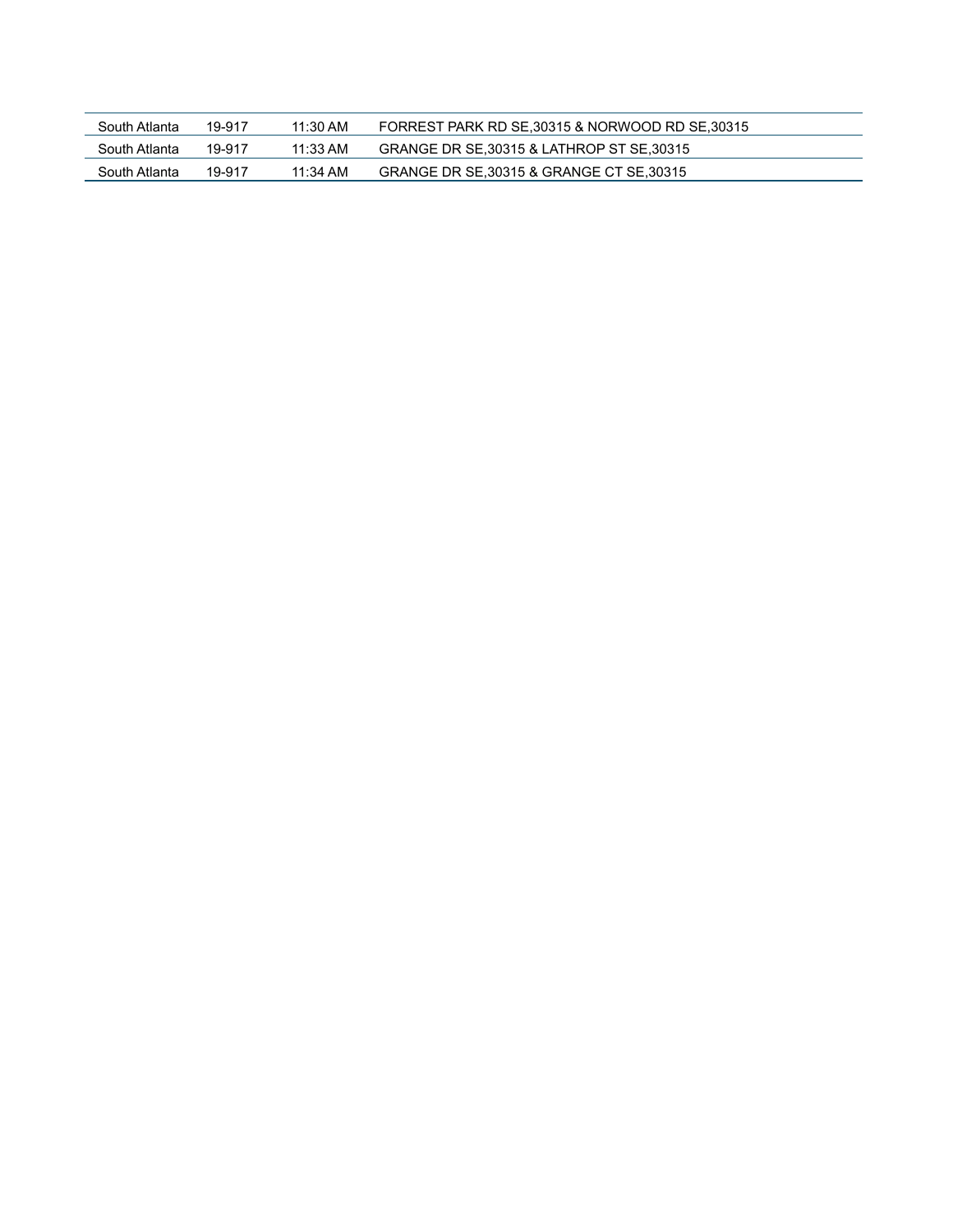| South Atlanta | 19-917 | 11:30 AM   | FORREST PARK RD SE, 30315 & NORWOOD RD SE, 30315 |
|---------------|--------|------------|--------------------------------------------------|
| South Atlanta | 19-917 | $11:33$ AM | GRANGE DR SE, 30315 & LATHROP ST SE, 30315       |
| South Atlanta | 19-917 | 11:34 AM   | GRANGE DR SE, 30315 & GRANGE CT SE, 30315        |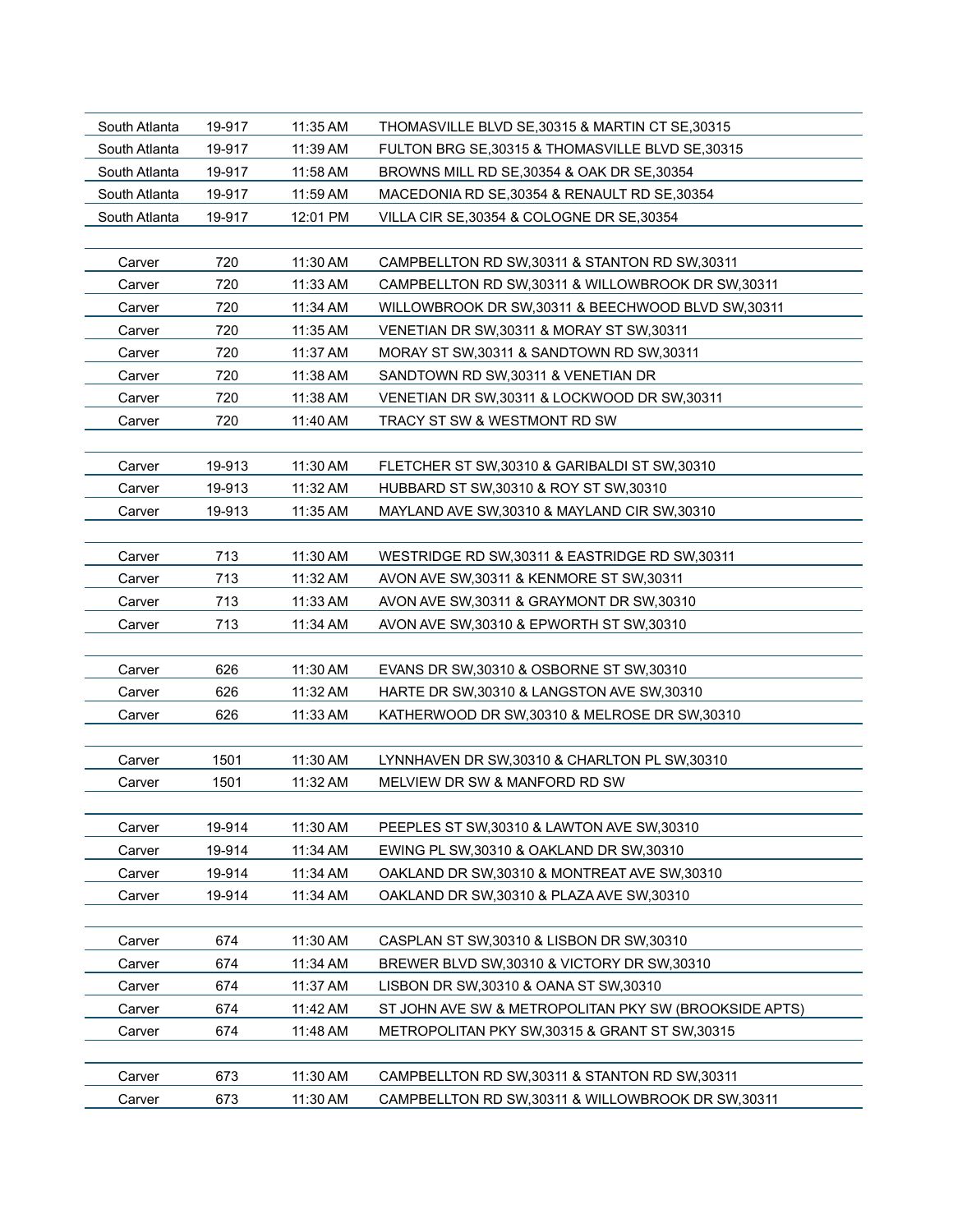| 19-917<br>11:35 AM<br>THOMASVILLE BLVD SE, 30315 & MARTIN CT SE, 30315<br>South Atlanta  |  |
|------------------------------------------------------------------------------------------|--|
| 11:39 AM<br>FULTON BRG SE, 30315 & THOMASVILLE BLVD SE, 30315<br>South Atlanta<br>19-917 |  |
| South Atlanta<br>19-917<br>11:58 AM<br>BROWNS MILL RD SE, 30354 & OAK DR SE, 30354       |  |
| 11:59 AM<br>South Atlanta<br>19-917<br>MACEDONIA RD SE, 30354 & RENAULT RD SE, 30354     |  |
| 19-917<br>12:01 PM<br>South Atlanta<br>VILLA CIR SE, 30354 & COLOGNE DR SE, 30354        |  |
|                                                                                          |  |
| 720<br>Carver<br>11:30 AM<br>CAMPBELLTON RD SW, 30311 & STANTON RD SW, 30311             |  |
| 720<br>Carver<br>11:33 AM<br>CAMPBELLTON RD SW.30311 & WILLOWBROOK DR SW.30311           |  |
| 720<br>11:34 AM<br>WILLOWBROOK DR SW, 30311 & BEECHWOOD BLVD SW, 30311<br>Carver         |  |
| 720<br>11:35 AM<br>VENETIAN DR SW, 30311 & MORAY ST SW, 30311<br>Carver                  |  |
| 720<br>Carver<br>11:37 AM<br>MORAY ST SW, 30311 & SANDTOWN RD SW, 30311                  |  |
| 720<br>11:38 AM<br>SANDTOWN RD SW, 30311 & VENETIAN DR<br>Carver                         |  |
| 720<br>11:38 AM<br>Carver<br>VENETIAN DR SW, 30311 & LOCKWOOD DR SW, 30311               |  |
| 720<br>11:40 AM<br>TRACY ST SW & WESTMONT RD SW<br>Carver                                |  |
|                                                                                          |  |
| 19-913<br>11:30 AM<br>Carver<br>FLETCHER ST SW, 30310 & GARIBALDI ST SW, 30310           |  |
| 19-913<br>11:32 AM<br>HUBBARD ST SW, 30310 & ROY ST SW, 30310<br>Carver                  |  |
| 19-913<br>11:35 AM<br>MAYLAND AVE SW, 30310 & MAYLAND CIR SW, 30310<br>Carver            |  |
|                                                                                          |  |
| 713<br>11:30 AM<br>WESTRIDGE RD SW, 30311 & EASTRIDGE RD SW, 30311<br>Carver             |  |
| 713<br>11:32 AM<br>AVON AVE SW, 30311 & KENMORE ST SW, 30311<br>Carver                   |  |
| 713<br>11:33 AM<br>AVON AVE SW, 30311 & GRAYMONT DR SW, 30310<br>Carver                  |  |
| 713<br>11:34 AM<br>Carver<br>AVON AVE SW, 30310 & EPWORTH ST SW, 30310                   |  |
|                                                                                          |  |
| 626<br>Carver<br>11:30 AM<br>EVANS DR SW, 30310 & OSBORNE ST SW, 30310                   |  |
| 626<br>Carver<br>11:32 AM<br>HARTE DR SW, 30310 & LANGSTON AVE SW, 30310                 |  |
| 626<br>11:33 AM<br>Carver<br>KATHERWOOD DR SW, 30310 & MELROSE DR SW, 30310              |  |
|                                                                                          |  |
| 1501<br>11:30 AM<br>LYNNHAVEN DR SW, 30310 & CHARLTON PL SW, 30310<br>Carver             |  |
| 1501<br>11:32 AM<br>MELVIEW DR SW & MANFORD RD SW<br>Carver                              |  |
|                                                                                          |  |
| 19-914<br>11:30 AM<br>PEEPLES ST SW, 30310 & LAWTON AVE SW, 30310<br>Carver              |  |
| 19-914<br>11:34 AM<br>Carver<br>EWING PL SW, 30310 & OAKLAND DR SW, 30310                |  |
| Carver<br>19-914<br>11:34 AM<br>OAKLAND DR SW,30310 & MONTREAT AVE SW,30310              |  |
| 19-914<br>11:34 AM<br>Carver<br>OAKLAND DR SW, 30310 & PLAZA AVE SW, 30310               |  |
|                                                                                          |  |
| 674<br>11:30 AM<br>CASPLAN ST SW, 30310 & LISBON DR SW, 30310<br>Carver                  |  |
| 674<br>11:34 AM<br>BREWER BLVD SW, 30310 & VICTORY DR SW, 30310<br>Carver                |  |
| 674<br>11:37 AM<br>Carver<br>LISBON DR SW, 30310 & OANA ST SW, 30310                     |  |
| 674<br>11:42 AM<br>ST JOHN AVE SW & METROPOLITAN PKY SW (BROOKSIDE APTS)<br>Carver       |  |
| 674<br>11:48 AM<br>METROPOLITAN PKY SW, 30315 & GRANT ST SW, 30315<br>Carver             |  |
|                                                                                          |  |
|                                                                                          |  |
| 11:30 AM<br>673<br>CAMPBELLTON RD SW, 30311 & STANTON RD SW, 30311<br>Carver             |  |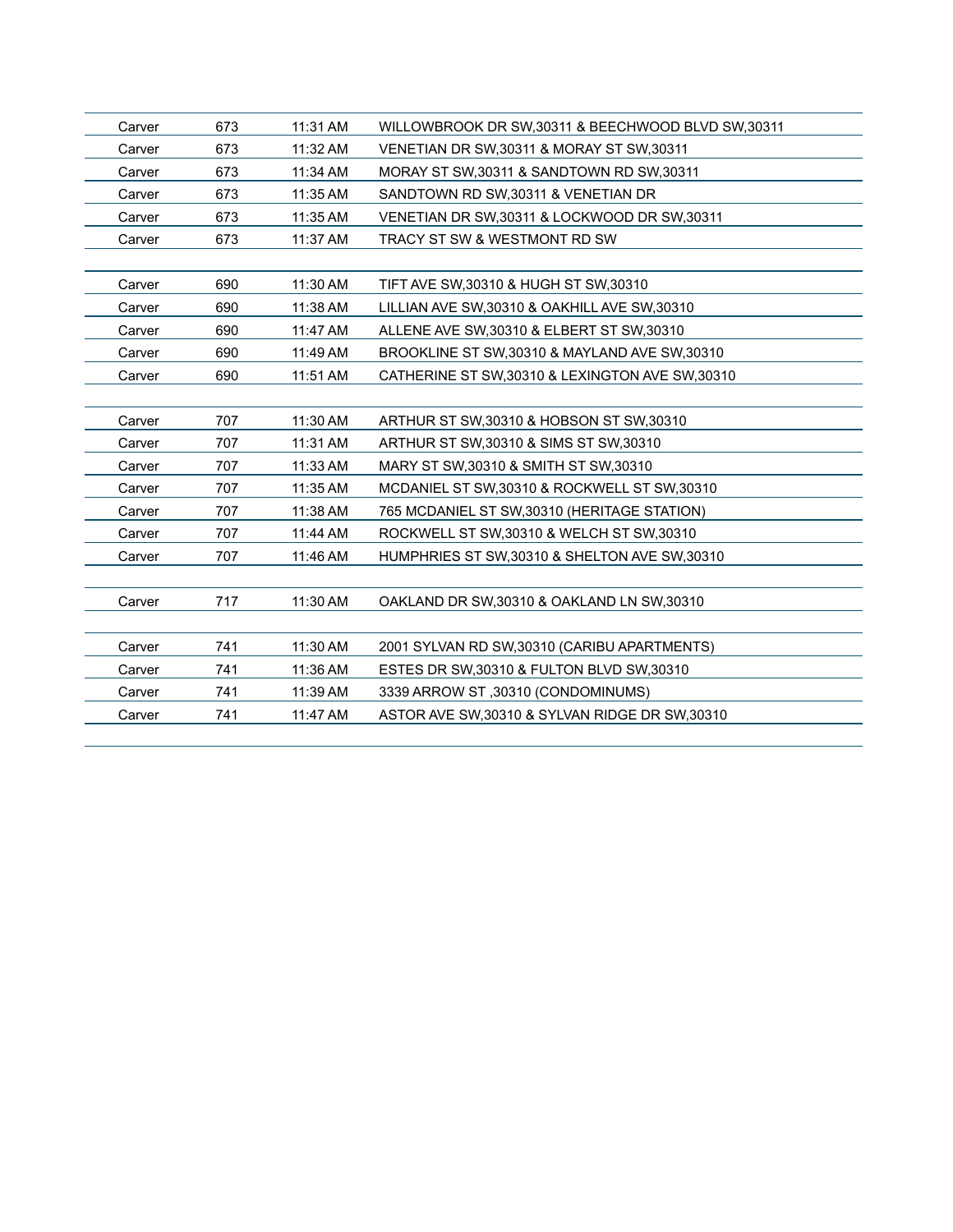| Carver | 673 | 11:31 AM | WILLOWBROOK DR SW, 30311 & BEECHWOOD BLVD SW, 30311 |
|--------|-----|----------|-----------------------------------------------------|
| Carver | 673 | 11:32 AM | VENETIAN DR SW, 30311 & MORAY ST SW, 30311          |
| Carver | 673 | 11:34 AM | MORAY ST SW, 30311 & SANDTOWN RD SW, 30311          |
| Carver | 673 | 11:35 AM | SANDTOWN RD SW, 30311 & VENETIAN DR                 |
| Carver | 673 | 11:35 AM | VENETIAN DR SW, 30311 & LOCKWOOD DR SW, 30311       |
| Carver | 673 | 11:37 AM | TRACY ST SW & WESTMONT RD SW                        |
|        |     |          |                                                     |
| Carver | 690 | 11:30 AM | TIFT AVE SW, 30310 & HUGH ST SW, 30310              |
| Carver | 690 | 11:38 AM | LILLIAN AVE SW, 30310 & OAKHILL AVE SW, 30310       |
| Carver | 690 | 11:47 AM | ALLENE AVE SW, 30310 & ELBERT ST SW, 30310          |
| Carver | 690 | 11:49 AM | BROOKLINE ST SW, 30310 & MAYLAND AVE SW, 30310      |
| Carver | 690 | 11:51 AM | CATHERINE ST SW, 30310 & LEXINGTON AVE SW, 30310    |
|        |     |          |                                                     |
| Carver | 707 | 11:30 AM | ARTHUR ST SW, 30310 & HOBSON ST SW, 30310           |
| Carver | 707 | 11:31 AM | ARTHUR ST SW, 30310 & SIMS ST SW, 30310             |
| Carver | 707 | 11:33 AM | MARY ST SW, 30310 & SMITH ST SW, 30310              |
| Carver | 707 | 11:35 AM | MCDANIEL ST SW, 30310 & ROCKWELL ST SW, 30310       |
| Carver | 707 | 11:38 AM | 765 MCDANIEL ST SW,30310 (HERITAGE STATION)         |
| Carver | 707 | 11:44 AM | ROCKWELL ST SW, 30310 & WELCH ST SW, 30310          |
| Carver | 707 | 11:46 AM | HUMPHRIES ST SW, 30310 & SHELTON AVE SW, 30310      |
|        |     |          |                                                     |
| Carver | 717 | 11:30 AM | OAKLAND DR SW, 30310 & OAKLAND LN SW, 30310         |
|        |     |          |                                                     |
| Carver | 741 | 11:30 AM | 2001 SYLVAN RD SW, 30310 (CARIBU APARTMENTS)        |
| Carver | 741 | 11:36 AM | ESTES DR SW, 30310 & FULTON BLVD SW, 30310          |
| Carver | 741 | 11:39 AM | 3339 ARROW ST, 30310 (CONDOMINUMS)                  |
| Carver | 741 | 11:47 AM | ASTOR AVE SW, 30310 & SYLVAN RIDGE DR SW, 30310     |
|        |     |          |                                                     |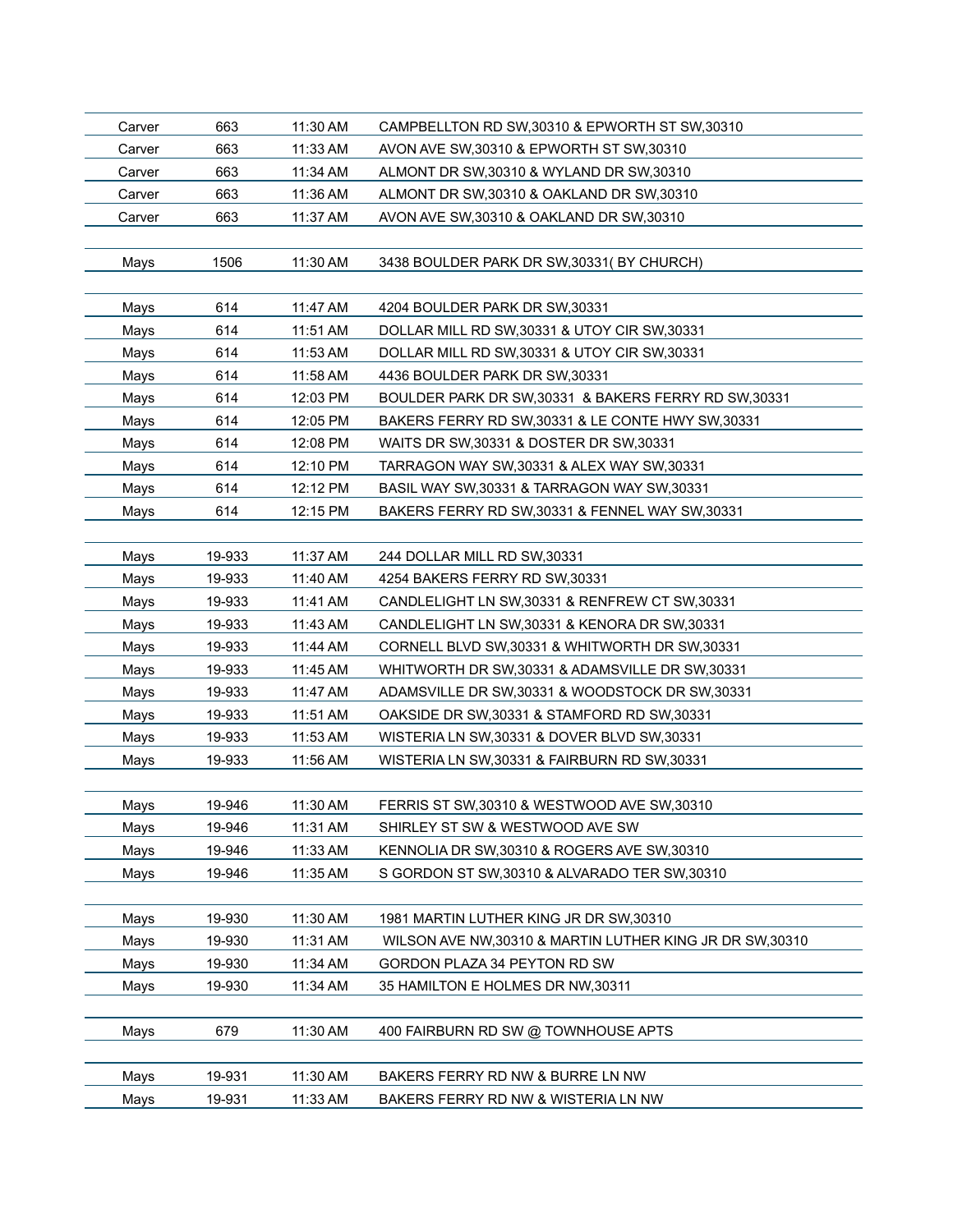| Carver | 663    | 11:30 AM | CAMPBELLTON RD SW, 30310 & EPWORTH ST SW, 30310           |
|--------|--------|----------|-----------------------------------------------------------|
| Carver | 663    | 11:33 AM | AVON AVE SW, 30310 & EPWORTH ST SW, 30310                 |
| Carver | 663    | 11:34 AM | ALMONT DR SW, 30310 & WYLAND DR SW, 30310                 |
| Carver | 663    | 11:36 AM | ALMONT DR SW, 30310 & OAKLAND DR SW, 30310                |
| Carver | 663    | 11:37 AM | AVON AVE SW, 30310 & OAKLAND DR SW, 30310                 |
|        |        |          |                                                           |
| Mays   | 1506   | 11:30 AM | 3438 BOULDER PARK DR SW, 30331 (BY CHURCH)                |
|        |        |          |                                                           |
| Mays   | 614    | 11:47 AM | 4204 BOULDER PARK DR SW, 30331                            |
| Mays   | 614    | 11:51 AM | DOLLAR MILL RD SW, 30331 & UTOY CIR SW, 30331             |
| Mays   | 614    | 11:53 AM | DOLLAR MILL RD SW, 30331 & UTOY CIR SW, 30331             |
| Mays   | 614    | 11:58 AM | 4436 BOULDER PARK DR SW, 30331                            |
| Mays   | 614    | 12:03 PM | BOULDER PARK DR SW, 30331 & BAKERS FERRY RD SW, 30331     |
| Mays   | 614    | 12:05 PM | BAKERS FERRY RD SW, 30331 & LE CONTE HWY SW, 30331        |
| Mays   | 614    | 12:08 PM | WAITS DR SW, 30331 & DOSTER DR SW, 30331                  |
| Mays   | 614    | 12:10 PM | TARRAGON WAY SW, 30331 & ALEX WAY SW, 30331               |
| Mays   | 614    | 12:12 PM | BASIL WAY SW, 30331 & TARRAGON WAY SW, 30331              |
| Mays   | 614    | 12:15 PM | BAKERS FERRY RD SW, 30331 & FENNEL WAY SW, 30331          |
|        |        |          |                                                           |
| Mays   | 19-933 | 11:37 AM | 244 DOLLAR MILL RD SW, 30331                              |
| Mays   | 19-933 | 11:40 AM | 4254 BAKERS FERRY RD SW, 30331                            |
| Mays   | 19-933 | 11:41 AM | CANDLELIGHT LN SW, 30331 & RENFREW CT SW, 30331           |
| Mays   | 19-933 | 11:43 AM | CANDLELIGHT LN SW, 30331 & KENORA DR SW, 30331            |
| Mays   | 19-933 | 11:44 AM | CORNELL BLVD SW, 30331 & WHITWORTH DR SW, 30331           |
| Mays   | 19-933 | 11:45 AM | WHITWORTH DR SW, 30331 & ADAMSVILLE DR SW, 30331          |
| Mays   | 19-933 | 11:47 AM | ADAMSVILLE DR SW, 30331 & WOODSTOCK DR SW, 30331          |
| Mays   | 19-933 | 11:51 AM | OAKSIDE DR SW, 30331 & STAMFORD RD SW, 30331              |
| Mays   | 19-933 | 11:53 AM | WISTERIA LN SW, 30331 & DOVER BLVD SW, 30331              |
| Mays   | 19-933 | 11:56 AM | WISTERIA LN SW, 30331 & FAIRBURN RD SW, 30331             |
|        |        |          |                                                           |
| Mays   | 19-946 | 11:30 AM | FERRIS ST SW, 30310 & WESTWOOD AVE SW, 30310              |
| Mays   | 19-946 | 11:31 AM | SHIRLEY ST SW & WESTWOOD AVE SW                           |
| Mays   | 19-946 | 11:33 AM | KENNOLIA DR SW, 30310 & ROGERS AVE SW, 30310              |
| Mays   | 19-946 | 11:35 AM | S GORDON ST SW, 30310 & ALVARADO TER SW, 30310            |
|        |        |          |                                                           |
| Mays   | 19-930 | 11:30 AM | 1981 MARTIN LUTHER KING JR DR SW,30310                    |
| Mays   | 19-930 | 11:31 AM | WILSON AVE NW, 30310 & MARTIN LUTHER KING JR DR SW, 30310 |
| Mays   | 19-930 | 11:34 AM | GORDON PLAZA 34 PEYTON RD SW                              |
| Mays   | 19-930 | 11:34 AM | 35 HAMILTON E HOLMES DR NW,30311                          |
|        |        |          |                                                           |
| Mays   | 679    | 11:30 AM | 400 FAIRBURN RD SW @ TOWNHOUSE APTS                       |
|        |        |          |                                                           |
| Mays   | 19-931 | 11:30 AM | BAKERS FERRY RD NW & BURRE LN NW                          |
| Mays   | 19-931 | 11:33 AM | BAKERS FERRY RD NW & WISTERIA LN NW                       |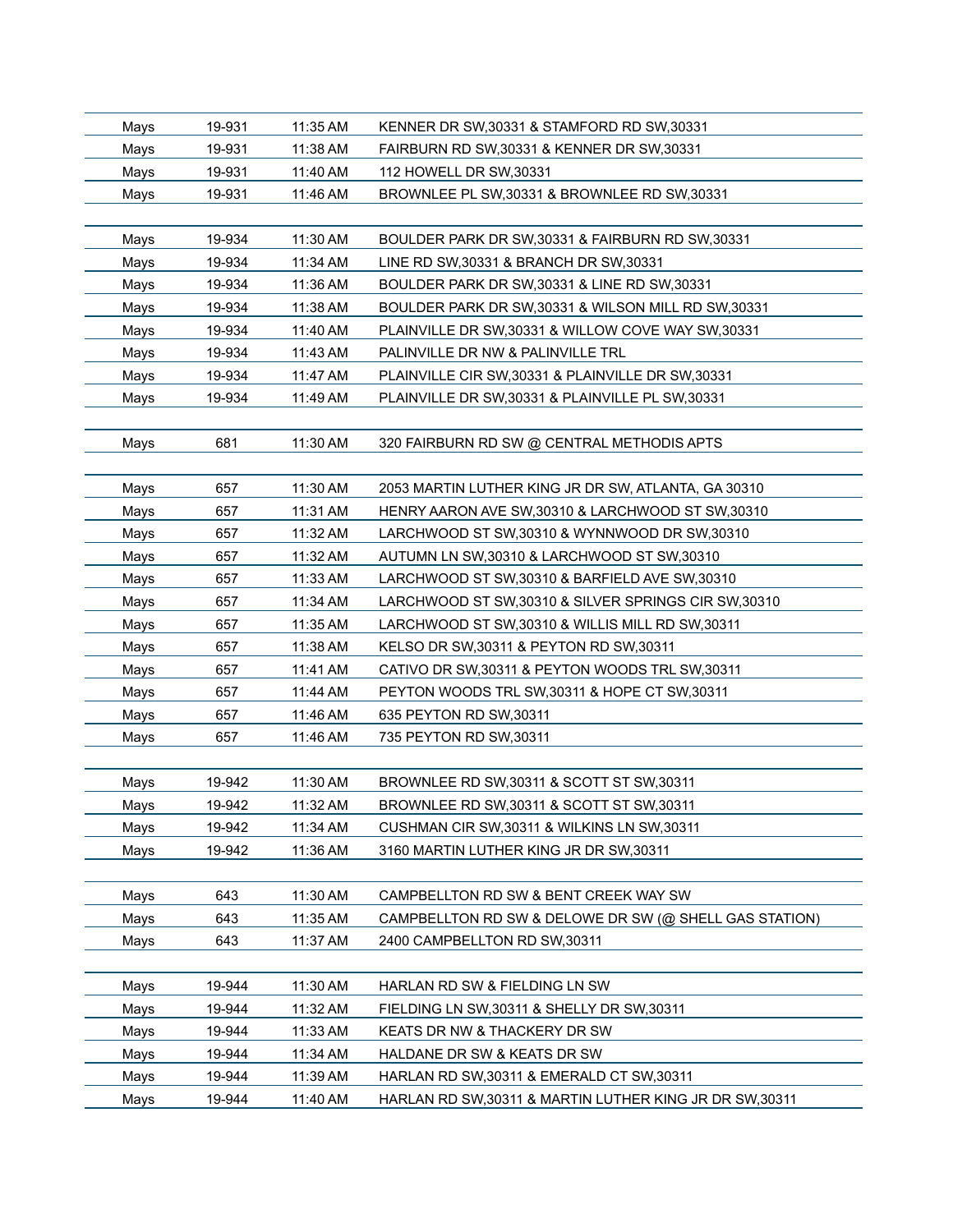| Mays | 19-931 | 11:35 AM | KENNER DR SW, 30331 & STAMFORD RD SW, 30331              |
|------|--------|----------|----------------------------------------------------------|
| Mays | 19-931 | 11:38 AM | FAIRBURN RD SW, 30331 & KENNER DR SW, 30331              |
| Mays | 19-931 | 11:40 AM | 112 HOWELL DR SW, 30331                                  |
| Mays | 19-931 | 11:46 AM | BROWNLEE PL SW, 30331 & BROWNLEE RD SW, 30331            |
|      |        |          |                                                          |
| Mays | 19-934 | 11:30 AM | BOULDER PARK DR SW, 30331 & FAIRBURN RD SW, 30331        |
| Mays | 19-934 | 11:34 AM | LINE RD SW, 30331 & BRANCH DR SW, 30331                  |
| Mays | 19-934 | 11:36 AM | BOULDER PARK DR SW, 30331 & LINE RD SW, 30331            |
| Mays | 19-934 | 11:38 AM | BOULDER PARK DR SW, 30331 & WILSON MILL RD SW, 30331     |
| Mays | 19-934 | 11:40 AM | PLAINVILLE DR SW, 30331 & WILLOW COVE WAY SW, 30331      |
| Mays | 19-934 | 11:43 AM | PALINVILLE DR NW & PALINVILLE TRL                        |
| Mays | 19-934 | 11:47 AM | PLAINVILLE CIR SW, 30331 & PLAINVILLE DR SW, 30331       |
| Mays | 19-934 | 11:49 AM | PLAINVILLE DR SW, 30331 & PLAINVILLE PL SW, 30331        |
|      |        |          |                                                          |
| Mays | 681    | 11:30 AM | 320 FAIRBURN RD SW @ CENTRAL METHODIS APTS               |
|      |        |          |                                                          |
| Mays | 657    | 11:30 AM | 2053 MARTIN LUTHER KING JR DR SW, ATLANTA, GA 30310      |
| Mays | 657    | 11:31 AM | HENRY AARON AVE SW,30310 & LARCHWOOD ST SW,30310         |
| Mays | 657    | 11:32 AM | LARCHWOOD ST SW, 30310 & WYNNWOOD DR SW, 30310           |
| Mays | 657    | 11:32 AM | AUTUMN LN SW, 30310 & LARCHWOOD ST SW, 30310             |
| Mays | 657    | 11:33 AM | LARCHWOOD ST SW, 30310 & BARFIELD AVE SW, 30310          |
| Mays | 657    | 11:34 AM | LARCHWOOD ST SW, 30310 & SILVER SPRINGS CIR SW, 30310    |
| Mays | 657    | 11:35 AM | LARCHWOOD ST SW, 30310 & WILLIS MILL RD SW, 30311        |
| Mays | 657    | 11:38 AM | KELSO DR SW, 30311 & PEYTON RD SW, 30311                 |
| Mays | 657    | 11:41 AM | CATIVO DR SW, 30311 & PEYTON WOODS TRL SW, 30311         |
| Mays | 657    | 11:44 AM | PEYTON WOODS TRL SW, 30311 & HOPE CT SW, 30311           |
| Mays | 657    | 11:46 AM | 635 PEYTON RD SW, 30311                                  |
| Mays | 657    | 11:46 AM | 735 PEYTON RD SW, 30311                                  |
|      |        |          |                                                          |
| Mays | 19-942 | 11:30 AM | BROWNLEE RD SW, 30311 & SCOTT ST SW, 30311               |
| Mays | 19-942 | 11:32 AM | BROWNLEE RD SW, 30311 & SCOTT ST SW, 30311               |
| Mays | 19-942 | 11:34 AM | CUSHMAN CIR SW, 30311 & WILKINS LN SW, 30311             |
| Mays | 19-942 | 11:36 AM | 3160 MARTIN LUTHER KING JR DR SW, 30311                  |
|      |        |          |                                                          |
| Mays | 643    | 11:30 AM | CAMPBELLTON RD SW & BENT CREEK WAY SW                    |
| Mays | 643    | 11:35 AM | CAMPBELLTON RD SW & DELOWE DR SW (@ SHELL GAS STATION)   |
| Mays | 643    | 11:37 AM | 2400 CAMPBELLTON RD SW,30311                             |
|      |        |          |                                                          |
| Mays | 19-944 | 11:30 AM | HARLAN RD SW & FIELDING LN SW                            |
| Mays | 19-944 | 11:32 AM | FIELDING LN SW, 30311 & SHELLY DR SW, 30311              |
| Mays | 19-944 | 11:33 AM | KEATS DR NW & THACKERY DR SW                             |
| Mays | 19-944 | 11:34 AM | HALDANE DR SW & KEATS DR SW                              |
| Mays | 19-944 | 11:39 AM | HARLAN RD SW, 30311 & EMERALD CT SW, 30311               |
| Mays | 19-944 | 11:40 AM | HARLAN RD SW, 30311 & MARTIN LUTHER KING JR DR SW, 30311 |
|      |        |          |                                                          |